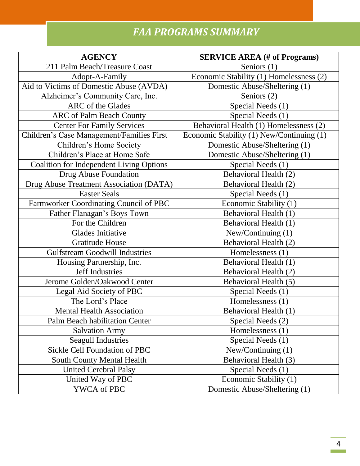# *FAA PROGRAMS SUMMARY*

| <b>AGENCY</b>                                   | <b>SERVICE AREA</b> (# of Programs)       |
|-------------------------------------------------|-------------------------------------------|
| 211 Palm Beach/Treasure Coast                   | Seniors $(1)$                             |
| Adopt-A-Family                                  | Economic Stability (1) Homelessness (2)   |
| Aid to Victims of Domestic Abuse (AVDA)         | Domestic Abuse/Sheltering (1)             |
| Alzheimer's Community Care, Inc.                | Seniors (2)                               |
| ARC of the Glades                               | Special Needs (1)                         |
| <b>ARC</b> of Palm Beach County                 | Special Needs (1)                         |
| <b>Center For Family Services</b>               | Behavioral Health (1) Homelessness (2)    |
| Children's Case Management/Families First       | Economic Stability (1) New/Continuing (1) |
| Children's Home Society                         | Domestic Abuse/Sheltering (1)             |
| Children's Place at Home Safe                   | Domestic Abuse/Sheltering (1)             |
| <b>Coalition for Independent Living Options</b> | Special Needs (1)                         |
| Drug Abuse Foundation                           | Behavioral Health (2)                     |
| Drug Abuse Treatment Association (DATA)         | Behavioral Health (2)                     |
| <b>Easter Seals</b>                             | Special Needs (1)                         |
| Farmworker Coordinating Council of PBC          | Economic Stability (1)                    |
| Father Flanagan's Boys Town                     | Behavioral Health (1)                     |
| For the Children                                | Behavioral Health (1)                     |
| <b>Glades Initiative</b>                        | New/Continuing $(1)$                      |
| <b>Gratitude House</b>                          | <b>Behavioral Health (2)</b>              |
| <b>Gulfstream Goodwill Industries</b>           | Homelessness (1)                          |
| Housing Partnership, Inc.                       | Behavioral Health (1)                     |
| Jeff Industries                                 | Behavioral Health (2)                     |
| Jerome Golden/Oakwood Center                    | Behavioral Health (5)                     |
| Legal Aid Society of PBC                        | Special Needs (1)                         |
| The Lord's Place                                | Homelessness (1)                          |
| <b>Mental Health Association</b>                | Behavioral Health (1)                     |
| <b>Palm Beach habilitation Center</b>           | Special Needs (2)                         |
| <b>Salvation Army</b>                           | Homelessness (1)                          |
| <b>Seagull Industries</b>                       | Special Needs (1)                         |
| Sickle Cell Foundation of PBC                   | New/Continuing (1)                        |
| <b>South County Mental Health</b>               | Behavioral Health (3)                     |
| <b>United Cerebral Palsy</b>                    | Special Needs (1)                         |
| United Way of PBC                               | Economic Stability (1)                    |
| YWCA of PBC                                     | Domestic Abuse/Sheltering (1)             |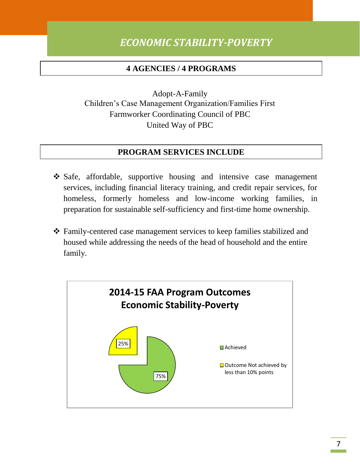## *ECONOMIC STABILITY-POVERTY*

#### **4 AGENCIES / 4 PROGRAMS**

Adopt-A-Family Children's Case Management Organization/Families First Farmworker Coordinating Council of PBC United Way of PBC

- Safe, affordable, supportive housing and intensive case management services, including financial literacy training, and credit repair services, for homeless, formerly homeless and low-income working families, in preparation for sustainable self-sufficiency and first-time home ownership.
- Family-centered case management services to keep families stabilized and housed while addressing the needs of the head of household and the entire family.

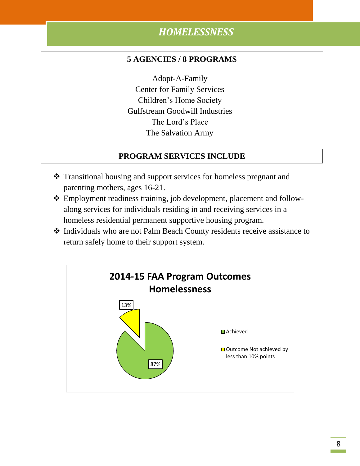## *HOMELESSNESS*

#### **5 AGENCIES / 8 PROGRAMS**

Adopt-A-Family Center for Family Services Children's Home Society Gulfstream Goodwill Industries The Lord's Place The Salvation Army

- Transitional housing and support services for homeless pregnant and parenting mothers, ages 16-21.
- Employment readiness training, job development, placement and followalong services for individuals residing in and receiving services in a homeless residential permanent supportive housing program.
- Individuals who are not Palm Beach County residents receive assistance to return safely home to their support system.

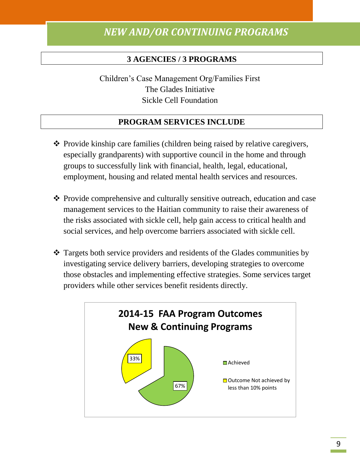### *NEW AND/OR CONTINUING PROGRAMS*

#### **3 AGENCIES / 3 PROGRAMS**

Children's Case Management Org/Families First The Glades Initiative Sickle Cell Foundation

- $\triangle$  Provide kinship care families (children being raised by relative caregivers, especially grandparents) with supportive council in the home and through groups to successfully link with financial, health, legal, educational, employment, housing and related mental health services and resources.
- Provide comprehensive and culturally sensitive outreach, education and case management services to the Haitian community to raise their awareness of the risks associated with sickle cell, help gain access to critical health and social services, and help overcome barriers associated with sickle cell.
- \* Targets both service providers and residents of the Glades communities by investigating service delivery barriers, developing strategies to overcome those obstacles and implementing effective strategies. Some services target providers while other services benefit residents directly.

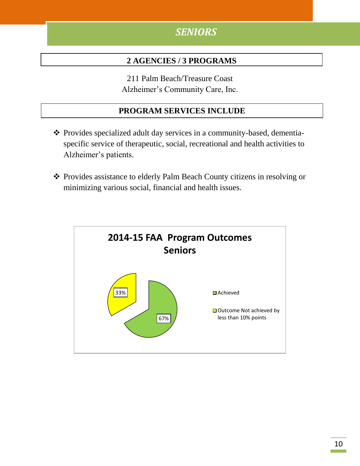## *SENIORS*

#### **2 AGENCIES / 3 PROGRAMS**

211 Palm Beach/Treasure Coast Alzheimer's Community Care, Inc.

- Provides specialized adult day services in a community-based, dementiaspecific service of therapeutic, social, recreational and health activities to Alzheimer's patients.
- Provides assistance to elderly Palm Beach County citizens in resolving or minimizing various social, financial and health issues.

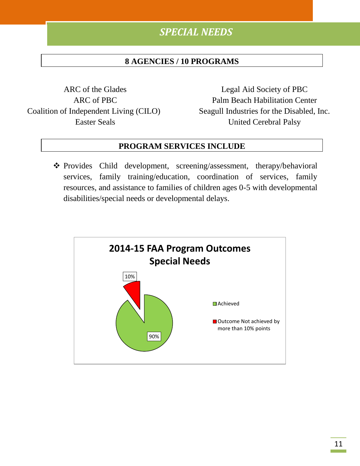## *SPECIAL NEEDS*

#### **8 AGENCIES / 10 PROGRAMS**

ARC of the Glades ARC of PBC Coalition of Independent Living (CILO) Easter Seals

Legal Aid Society of PBC Palm Beach Habilitation Center Seagull Industries for the Disabled, Inc. United Cerebral Palsy

#### **PROGRAM SERVICES INCLUDE**

\* Provides Child development, screening/assessment, therapy/behavioral services, family training/education, coordination of services, family resources, and assistance to families of children ages 0-5 with developmental disabilities/special needs or developmental delays.

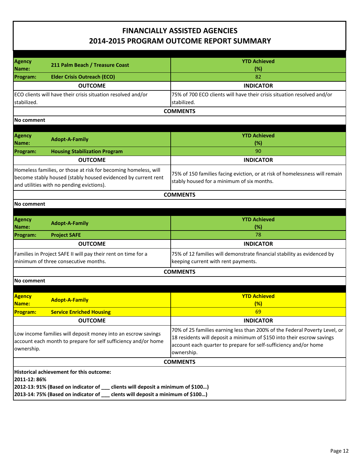| Agency                                   | 211 Palm Beach / Treasure Coast                                                     | <b>YTD Achieved</b>                                                         |
|------------------------------------------|-------------------------------------------------------------------------------------|-----------------------------------------------------------------------------|
| Name:                                    |                                                                                     | (%)                                                                         |
| Program:                                 | <b>Elder Crisis Outreach (ECO)</b>                                                  | 82                                                                          |
|                                          | <b>OUTCOME</b>                                                                      | <b>INDICATOR</b>                                                            |
|                                          | ECO clients will have their crisis situation resolved and/or                        | 75% of 700 ECO clients will have their crisis situation resolved and/or     |
| stabilized.                              |                                                                                     | stabilized.                                                                 |
|                                          |                                                                                     | <b>COMMENTS</b>                                                             |
| No comment                               |                                                                                     |                                                                             |
|                                          |                                                                                     |                                                                             |
| <b>Agency</b>                            |                                                                                     | <b>YTD Achieved</b>                                                         |
| Name:                                    | <b>Adopt-A-Family</b>                                                               | (%)                                                                         |
| <b>Program:</b>                          | <b>Housing Stabilization Program</b>                                                | 90                                                                          |
|                                          |                                                                                     |                                                                             |
|                                          | <b>OUTCOME</b>                                                                      | <b>INDICATOR</b>                                                            |
|                                          | Homeless families, or those at risk for becoming homeless, will                     | 75% of 150 families facing eviction, or at risk of homelessness will remain |
|                                          | become stably housed (stably housed evidenced by current rent                       | stably housed for a minimum of six months.                                  |
|                                          | and utilities with no pending evictions).                                           |                                                                             |
|                                          |                                                                                     | <b>COMMENTS</b>                                                             |
| <b>No comment</b>                        |                                                                                     |                                                                             |
|                                          |                                                                                     |                                                                             |
| Agency                                   |                                                                                     | <b>YTD Achieved</b>                                                         |
| Name:                                    | <b>Adopt-A-Family</b>                                                               | (%)                                                                         |
| <b>Program:</b>                          | <b>Project SAFE</b>                                                                 | 78                                                                          |
|                                          | <b>OUTCOME</b>                                                                      | <b>INDICATOR</b>                                                            |
|                                          | Families in Project SAFE II will pay their rent on time for a                       | 75% of 12 families will demonstrate financial stability as evidenced by     |
|                                          | minimum of three consecutive months.                                                | keeping current with rent payments.                                         |
|                                          |                                                                                     |                                                                             |
|                                          |                                                                                     | <b>COMMENTS</b>                                                             |
| <b>No comment</b>                        |                                                                                     |                                                                             |
|                                          |                                                                                     |                                                                             |
| <mark>Agency</mark>                      | <b>Adopt-A-Family</b>                                                               | <b>YTD Achieved</b>                                                         |
| Name:                                    |                                                                                     | (%)                                                                         |
| <b>Program:</b>                          | <b>Service Enriched Housing</b>                                                     | <u>69</u>                                                                   |
|                                          | <b>OUTCOME</b>                                                                      | <b>INDICATOR</b>                                                            |
|                                          | Low income families will deposit money into an escrow savings                       | 70% of 25 families earning less than 200% of the Federal Poverty Level, or  |
|                                          | account each month to prepare for self sufficiency and/or home                      | 18 residents will deposit a minimum of \$150 into their escrow savings      |
| ownership.                               |                                                                                     | account each quarter to prepare for self-sufficiency and/or home            |
|                                          |                                                                                     | ownership.                                                                  |
|                                          |                                                                                     | <b>COMMENTS</b>                                                             |
| Historical achievement for this outcome: |                                                                                     |                                                                             |
| 2011-12: 86%                             |                                                                                     |                                                                             |
|                                          | 2012-13: 91% (Based on indicator of ___<br>clients will deposit a minimum of \$100) |                                                                             |
|                                          | 2013-14: 75% (Based on indicator of _<br>clents will deposit a minimum of \$100)    |                                                                             |
|                                          |                                                                                     |                                                                             |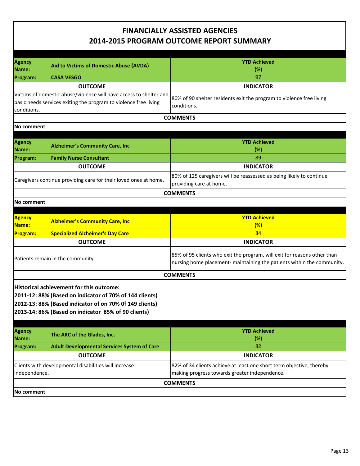| Agency<br>Name:                                                                                                                                                                                                       | Aid to Victims of Domestic Abuse (AVDA)                                                                                                | <b>YTD Achieved</b><br>$(\%)$                                                                                                                      |  |
|-----------------------------------------------------------------------------------------------------------------------------------------------------------------------------------------------------------------------|----------------------------------------------------------------------------------------------------------------------------------------|----------------------------------------------------------------------------------------------------------------------------------------------------|--|
| Program:                                                                                                                                                                                                              | <b>CASA VESGO</b>                                                                                                                      | 97                                                                                                                                                 |  |
|                                                                                                                                                                                                                       | <b>OUTCOME</b>                                                                                                                         | <b>INDICATOR</b>                                                                                                                                   |  |
| conditions.                                                                                                                                                                                                           | Victims of domestic abuse/violence will have access to shelter and<br>basic needs services exiting the program to violence free living | 80% of 90 shelter residents exit the program to violence free living<br>conditions.                                                                |  |
|                                                                                                                                                                                                                       |                                                                                                                                        | <b>COMMENTS</b>                                                                                                                                    |  |
| No comment                                                                                                                                                                                                            |                                                                                                                                        |                                                                                                                                                    |  |
| <b>Agency</b><br>Name:                                                                                                                                                                                                | <b>Alzheimer's Community Care, Inc.</b>                                                                                                | <b>YTD Achieved</b><br>$(\%)$                                                                                                                      |  |
| <b>Program:</b>                                                                                                                                                                                                       | <b>Family Nurse Consultant</b>                                                                                                         | 89                                                                                                                                                 |  |
|                                                                                                                                                                                                                       | <b>OUTCOME</b>                                                                                                                         | <b>INDICATOR</b>                                                                                                                                   |  |
|                                                                                                                                                                                                                       | Caregivers continue providing care for their loved ones at home.                                                                       | 80% of 125 caregivers will be reassessed as being likely to continue<br>providing care at home.                                                    |  |
|                                                                                                                                                                                                                       |                                                                                                                                        | <b>COMMENTS</b>                                                                                                                                    |  |
| No comment                                                                                                                                                                                                            |                                                                                                                                        |                                                                                                                                                    |  |
|                                                                                                                                                                                                                       |                                                                                                                                        |                                                                                                                                                    |  |
| Agency<br>Name:                                                                                                                                                                                                       | <b>Alzheimer's Community Care, Inc.</b>                                                                                                | <b>YTD Achieved</b><br>(%)                                                                                                                         |  |
| <b>Program:</b>                                                                                                                                                                                                       | <b>Specialized Alzheimer's Day Care</b>                                                                                                | 84                                                                                                                                                 |  |
|                                                                                                                                                                                                                       | <b>OUTCOME</b>                                                                                                                         | <b>INDICATOR</b>                                                                                                                                   |  |
|                                                                                                                                                                                                                       | Patients remain in the community.                                                                                                      | 85% of 95 clients who exit the program, will exit for reasons other than<br>nursing home placement- maintaining the patients within the community. |  |
|                                                                                                                                                                                                                       |                                                                                                                                        | <b>COMMENTS</b>                                                                                                                                    |  |
| Historical achievement for this outcome:<br>2011-12: 88% (Based on indicator of 70% of 144 clients)<br>2012-13: 88% (Based indicator of on 70% Of 149 clients)<br>2013-14: 86% (Based on indicator 85% of 90 clients) |                                                                                                                                        |                                                                                                                                                    |  |
| <b>Agency</b><br>Name:                                                                                                                                                                                                | The ARC of the Glades, Inc.                                                                                                            | <b>YTD Achieved</b><br>(%)                                                                                                                         |  |
| Program:                                                                                                                                                                                                              | <b>Adult Developmental Services System of Care</b>                                                                                     | 82                                                                                                                                                 |  |
|                                                                                                                                                                                                                       | <b>OUTCOME</b>                                                                                                                         | <b>INDICATOR</b>                                                                                                                                   |  |
| Clients with developmental disabilities will increase<br>independence.                                                                                                                                                |                                                                                                                                        | 82% of 34 clients achieve at least one short term objective, thereby<br>making progress towards greater independence.                              |  |
|                                                                                                                                                                                                                       | <b>COMMENTS</b>                                                                                                                        |                                                                                                                                                    |  |
| No comment                                                                                                                                                                                                            |                                                                                                                                        |                                                                                                                                                    |  |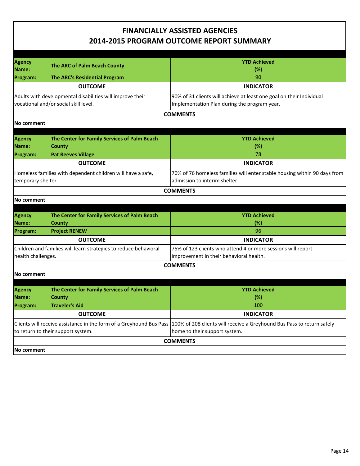| <b>Agency</b>                                                       |                                                                  | <b>YTD Achieved</b>                                                                                     |
|---------------------------------------------------------------------|------------------------------------------------------------------|---------------------------------------------------------------------------------------------------------|
| Name:                                                               | The ARC of Palm Beach County                                     | (%)                                                                                                     |
| <b>Program:</b>                                                     | <b>The ARC's Residential Program</b>                             | 90                                                                                                      |
|                                                                     | <b>OUTCOME</b>                                                   | <b>INDICATOR</b>                                                                                        |
|                                                                     | Adults with developmental disabilities will improve their        | 90% of 31 clients will achieve at least one goal on their Individual                                    |
|                                                                     | vocational and/or social skill level.                            | Implementation Plan during the program year.                                                            |
|                                                                     |                                                                  | <b>COMMENTS</b>                                                                                         |
| <b>No comment</b>                                                   |                                                                  |                                                                                                         |
|                                                                     |                                                                  |                                                                                                         |
| <b>Agency</b>                                                       | The Center for Family Services of Palm Beach                     | <b>YTD Achieved</b>                                                                                     |
| Name:                                                               | County                                                           | (%)                                                                                                     |
| <b>Program:</b>                                                     | <b>Pat Reeves Village</b>                                        | 78                                                                                                      |
|                                                                     | <b>OUTCOME</b>                                                   | <b>INDICATOR</b>                                                                                        |
|                                                                     | Homeless families with dependent children will have a safe,      | 70% of 76 homeless families will enter stable housing within 90 days from                               |
| temporary shelter.                                                  |                                                                  | admission to interim shelter.                                                                           |
|                                                                     |                                                                  | <b>COMMENTS</b>                                                                                         |
| No comment                                                          |                                                                  |                                                                                                         |
|                                                                     |                                                                  |                                                                                                         |
| Agency                                                              | The Center for Family Services of Palm Beach                     | <b>YTD Achieved</b>                                                                                     |
| Name:                                                               | <b>County</b>                                                    | (%)                                                                                                     |
| <b>Program:</b>                                                     | <b>Project RENEW</b>                                             | 96                                                                                                      |
|                                                                     | <b>OUTCOME</b>                                                   | <b>INDICATOR</b>                                                                                        |
|                                                                     | Children and families will learn strategies to reduce behavioral | 75% of 123 clients who attend 4 or more sessions will report                                            |
| health challenges.                                                  |                                                                  | improvement in their behavioral health.                                                                 |
|                                                                     |                                                                  | <b>COMMENTS</b>                                                                                         |
| No comment                                                          |                                                                  |                                                                                                         |
|                                                                     |                                                                  |                                                                                                         |
| <b>Agency</b><br>Name:                                              | The Center for Family Services of Palm Beach<br>County           | <b>YTD Achieved</b><br>(%)                                                                              |
| <b>Program:</b>                                                     | <b>Traveler's Aid</b>                                            | 100                                                                                                     |
|                                                                     | <b>OUTCOME</b>                                                   | <b>INDICATOR</b>                                                                                        |
|                                                                     |                                                                  |                                                                                                         |
| Clients will receive assistance in the form of a Greyhound Bus Pass |                                                                  | 100% of 208 clients will receive a Greyhound Bus Pass to return safely<br>home to their support system. |
|                                                                     | to return to their support system.                               |                                                                                                         |
|                                                                     |                                                                  | <b>COMMENTS</b>                                                                                         |
| No comment                                                          |                                                                  |                                                                                                         |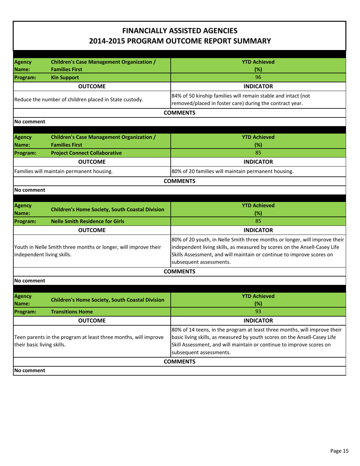| <b>Agency</b><br>Name:                                                                        | <b>Children's Case Management Organization /</b><br><b>Families First</b> | <b>YTD Achieved</b><br>(%)                                                                                                                                                                                                       |
|-----------------------------------------------------------------------------------------------|---------------------------------------------------------------------------|----------------------------------------------------------------------------------------------------------------------------------------------------------------------------------------------------------------------------------|
| Program:                                                                                      | <b>Kin Support</b>                                                        | 96                                                                                                                                                                                                                               |
|                                                                                               | <b>OUTCOME</b>                                                            | <b>INDICATOR</b>                                                                                                                                                                                                                 |
|                                                                                               |                                                                           | 84% of 50 kinship families will remain stable and intact (not                                                                                                                                                                    |
|                                                                                               | Reduce the number of children placed in State custody.                    | removed/placed in foster care) during the contract year.                                                                                                                                                                         |
|                                                                                               |                                                                           | <b>COMMENTS</b>                                                                                                                                                                                                                  |
| No comment                                                                                    |                                                                           |                                                                                                                                                                                                                                  |
|                                                                                               |                                                                           |                                                                                                                                                                                                                                  |
| <b>Agency</b>                                                                                 | <b>Children's Case Management Organization /</b>                          | <b>YTD Achieved</b>                                                                                                                                                                                                              |
| Name:                                                                                         | <b>Families First</b>                                                     | (%)                                                                                                                                                                                                                              |
| Program:                                                                                      | <b>Project Connect Collaborative</b>                                      | 85                                                                                                                                                                                                                               |
|                                                                                               | <b>OUTCOME</b>                                                            | <b>INDICATOR</b>                                                                                                                                                                                                                 |
|                                                                                               | Families will maintain permanent housing.                                 | 80% of 20 families will maintain permanent housing.                                                                                                                                                                              |
|                                                                                               |                                                                           | <b>COMMENTS</b>                                                                                                                                                                                                                  |
| No comment                                                                                    |                                                                           |                                                                                                                                                                                                                                  |
|                                                                                               |                                                                           |                                                                                                                                                                                                                                  |
| <b>Agency</b>                                                                                 | <b>Children's Home Society, South Coastal Division</b>                    | <b>YTD Achieved</b>                                                                                                                                                                                                              |
| Name:                                                                                         |                                                                           | (%)                                                                                                                                                                                                                              |
| <b>Program:</b>                                                                               | <b>Nelle Smith Residence for Girls</b>                                    | 85                                                                                                                                                                                                                               |
|                                                                                               | <b>OUTCOME</b>                                                            | <b>INDICATOR</b>                                                                                                                                                                                                                 |
| Youth in Nelle Smith three months or longer, will improve their<br>independent living skills. |                                                                           | 80% of 20 youth, in Nelle Smith three months or longer, will improve their<br>independent living skills, as measured by scores on the Ansell-Casey Life<br>Skills Assessment, and will maintain or continue to improve scores on |
|                                                                                               |                                                                           | subsequent assessments.                                                                                                                                                                                                          |
|                                                                                               |                                                                           | <b>COMMENTS</b>                                                                                                                                                                                                                  |
| No comment                                                                                    |                                                                           |                                                                                                                                                                                                                                  |
|                                                                                               |                                                                           |                                                                                                                                                                                                                                  |
| <b>Agency</b>                                                                                 | <b>Children's Home Society, South Coastal Division</b>                    | <b>YTD Achieved</b>                                                                                                                                                                                                              |
| Name:                                                                                         |                                                                           | (%)                                                                                                                                                                                                                              |
| Program:                                                                                      | <b>Transitions Home</b>                                                   | 93                                                                                                                                                                                                                               |
|                                                                                               | <b>OUTCOME</b>                                                            | <b>INDICATOR</b>                                                                                                                                                                                                                 |
|                                                                                               |                                                                           | 80% of 14 teens, in the program at least three months, will improve their                                                                                                                                                        |
| Teen parents in the program at least three months, will improve<br>their basic living skills. |                                                                           | basic living skills, as measured by youth scores on the Ansell-Casey Life                                                                                                                                                        |
|                                                                                               |                                                                           | Skill Assessment, and will maintain or continue to improve scores on                                                                                                                                                             |
|                                                                                               |                                                                           | subsequent assessments.                                                                                                                                                                                                          |
|                                                                                               |                                                                           | <b>COMMENTS</b>                                                                                                                                                                                                                  |
| No comment                                                                                    |                                                                           |                                                                                                                                                                                                                                  |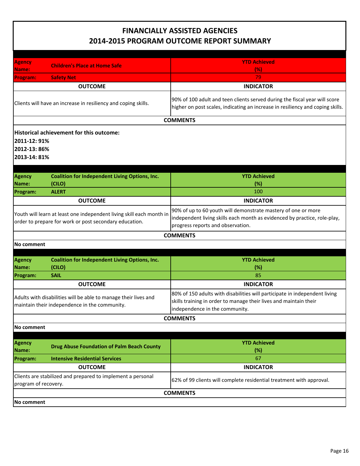| <b>Agency</b><br>Name:                                                                                           | <b>Children's Place at Home Safe</b>                                                                                           | <b>YTD Achieved</b><br>(% )                                                                                                                                                       |  |
|------------------------------------------------------------------------------------------------------------------|--------------------------------------------------------------------------------------------------------------------------------|-----------------------------------------------------------------------------------------------------------------------------------------------------------------------------------|--|
| Program:                                                                                                         | <b>Safety Net</b>                                                                                                              | 79                                                                                                                                                                                |  |
|                                                                                                                  | <b>OUTCOME</b>                                                                                                                 | <b>INDICATOR</b>                                                                                                                                                                  |  |
|                                                                                                                  | Clients will have an increase in resiliency and coping skills.                                                                 | 90% of 100 adult and teen clients served during the fiscal year will score<br>higher on post scales, indicating an increase in resiliency and coping skills.                      |  |
|                                                                                                                  |                                                                                                                                | <b>COMMENTS</b>                                                                                                                                                                   |  |
|                                                                                                                  | Historical achievement for this outcome:<br>2011-12: 91%<br>2012-13:86%<br>2013-14: 81%                                        |                                                                                                                                                                                   |  |
| <b>Agency</b>                                                                                                    | <b>Coalition for Independent Living Options, Inc.</b>                                                                          | <b>YTD Achieved</b>                                                                                                                                                               |  |
| Name:                                                                                                            | (CILO)                                                                                                                         | (%)                                                                                                                                                                               |  |
| Program:                                                                                                         | <b>ALERT</b>                                                                                                                   | 100                                                                                                                                                                               |  |
|                                                                                                                  | <b>OUTCOME</b>                                                                                                                 | <b>INDICATOR</b>                                                                                                                                                                  |  |
|                                                                                                                  | Youth will learn at least one independent living skill each month in<br>order to prepare for work or post secondary education. | 90% of up to 60 youth will demonstrate mastery of one or more<br>independent living skills each month as evidenced by practice, role-play,<br>progress reports and observation.   |  |
|                                                                                                                  |                                                                                                                                | <b>COMMENTS</b>                                                                                                                                                                   |  |
| No comment                                                                                                       |                                                                                                                                |                                                                                                                                                                                   |  |
|                                                                                                                  |                                                                                                                                |                                                                                                                                                                                   |  |
| Agency<br>Name:                                                                                                  | <b>Coalition for Independent Living Options, Inc.</b><br>(CILO)                                                                | <b>YTD Achieved</b><br>(%)                                                                                                                                                        |  |
| Program:                                                                                                         | <b>SAIL</b>                                                                                                                    | 85                                                                                                                                                                                |  |
|                                                                                                                  | <b>OUTCOME</b>                                                                                                                 | <b>INDICATOR</b>                                                                                                                                                                  |  |
| Adults with disabilities will be able to manage their lives and<br>maintain their independence in the community. |                                                                                                                                | 80% of 150 adults with disabilities will participate in independent living<br>skills training in order to manage their lives and maintain their<br>independence in the community. |  |
|                                                                                                                  |                                                                                                                                | <b>COMMENTS</b>                                                                                                                                                                   |  |
| No comment                                                                                                       |                                                                                                                                |                                                                                                                                                                                   |  |
|                                                                                                                  |                                                                                                                                |                                                                                                                                                                                   |  |
| <b>Agency</b><br>Name:                                                                                           | <b>Drug Abuse Foundation of Palm Beach County</b>                                                                              | <b>YTD Achieved</b><br>(%)                                                                                                                                                        |  |
| Program:                                                                                                         | <b>Intensive Residential Services</b>                                                                                          | 67                                                                                                                                                                                |  |
|                                                                                                                  | <b>OUTCOME</b>                                                                                                                 | <b>INDICATOR</b>                                                                                                                                                                  |  |
| Clients are stabilized and prepared to implement a personal<br>program of recovery.                              |                                                                                                                                | 62% of 99 clients will complete residential treatment with approval.                                                                                                              |  |
|                                                                                                                  | <b>COMMENTS</b>                                                                                                                |                                                                                                                                                                                   |  |
| No comment                                                                                                       |                                                                                                                                |                                                                                                                                                                                   |  |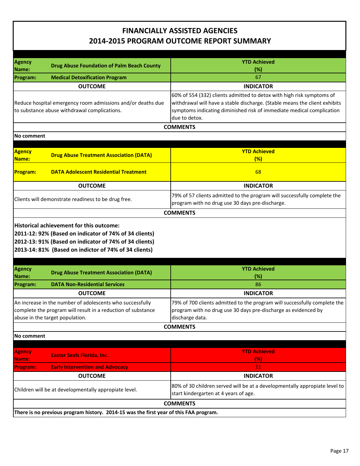| <b>Agency</b>                                                                                                                                                |                                                                                                                 | <b>YTD Achieved</b>                                                                                                                                                                                                                           |
|--------------------------------------------------------------------------------------------------------------------------------------------------------------|-----------------------------------------------------------------------------------------------------------------|-----------------------------------------------------------------------------------------------------------------------------------------------------------------------------------------------------------------------------------------------|
| Name:                                                                                                                                                        | <b>Drug Abuse Foundation of Palm Beach County</b>                                                               | (%)                                                                                                                                                                                                                                           |
| Program:                                                                                                                                                     | <b>Medical Detoxification Program</b>                                                                           | 67                                                                                                                                                                                                                                            |
|                                                                                                                                                              | <b>OUTCOME</b>                                                                                                  | <b>INDICATOR</b>                                                                                                                                                                                                                              |
|                                                                                                                                                              | Reduce hospital emergency room admissions and/or deaths due<br>to substance abuse withdrawal complications.     | 60% of 554 (332) clients admitted to detox with high risk symptoms of<br>withdrawal will have a stable discharge. (Stable means the client exhibits<br>symptoms indicating diminished risk of immediate medical complication<br>due to detox. |
|                                                                                                                                                              |                                                                                                                 | <b>COMMENTS</b>                                                                                                                                                                                                                               |
| No comment                                                                                                                                                   |                                                                                                                 |                                                                                                                                                                                                                                               |
|                                                                                                                                                              |                                                                                                                 |                                                                                                                                                                                                                                               |
| <b>Agency</b><br>Name:                                                                                                                                       | <b>Drug Abuse Treatment Association (DATA)</b>                                                                  | <b>YTD Achieved</b><br>(%)                                                                                                                                                                                                                    |
| <b>Program:</b>                                                                                                                                              | <b>DATA Adolescent Residential Treatment</b>                                                                    | 68                                                                                                                                                                                                                                            |
|                                                                                                                                                              | <b>OUTCOME</b>                                                                                                  | <b>INDICATOR</b>                                                                                                                                                                                                                              |
|                                                                                                                                                              | Clients will demonstrate readiness to be drug free.                                                             | 79% of 57 clients admitted to the program will successfully complete the<br>program with no drug use 30 days pre-discharge.                                                                                                                   |
|                                                                                                                                                              |                                                                                                                 | <b>COMMENTS</b>                                                                                                                                                                                                                               |
|                                                                                                                                                              | 2012-13: 91% (Based on indicator of 74% of 34 clients)<br>2013-14: 81% (Based on indictor of 74% of 34 clients) |                                                                                                                                                                                                                                               |
| <b>Agency</b><br> Name:                                                                                                                                      | <b>Drug Abuse Treatment Association (DATA)</b>                                                                  | <b>YTD Achieved</b><br>$(\%)$                                                                                                                                                                                                                 |
| Program:                                                                                                                                                     | <b>DATA Non-Residential Services</b>                                                                            | 86                                                                                                                                                                                                                                            |
|                                                                                                                                                              | <b>OUTCOME</b>                                                                                                  | <b>INDICATOR</b>                                                                                                                                                                                                                              |
| An increase in the number of adolescents who successfully<br>complete the program will result in a reduction of substance<br>abuse in the target population. |                                                                                                                 | 79% of 700 clients admitted to the program will successfully complete the<br>program with no drug use 30 days pre-discharge as evidenced by<br>discharge data.                                                                                |
|                                                                                                                                                              |                                                                                                                 | <b>COMMENTS</b>                                                                                                                                                                                                                               |
| No comment                                                                                                                                                   |                                                                                                                 |                                                                                                                                                                                                                                               |
| Agency                                                                                                                                                       | <b>Easter Seals Florida, Inc.</b>                                                                               | <b>YTD Achieved</b>                                                                                                                                                                                                                           |
| Name:                                                                                                                                                        |                                                                                                                 | (% )                                                                                                                                                                                                                                          |
| <b>Program:</b>                                                                                                                                              | <b>Early Intervention and Advocacy</b>                                                                          | $11\,$                                                                                                                                                                                                                                        |
|                                                                                                                                                              | <b>OUTCOME</b>                                                                                                  | <b>INDICATOR</b>                                                                                                                                                                                                                              |
|                                                                                                                                                              | Children will be at developmentally appropiate level.                                                           | 80% of 30 children served will be at a developmentally appropiate level to<br>start kindergarten at 4 years of age.                                                                                                                           |
|                                                                                                                                                              |                                                                                                                 | <b>COMMENTS</b>                                                                                                                                                                                                                               |
|                                                                                                                                                              | There is no previous program history. 2014-15 was the first year of this FAA program.                           |                                                                                                                                                                                                                                               |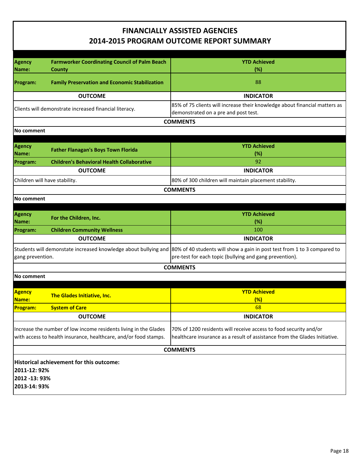| <b>Agency</b><br>Name:                                                                                                               | <b>Farmworker Coordinating Council of Palm Beach</b><br>County | <b>YTD Achieved</b><br>(%)                                                                                                                                                                          |
|--------------------------------------------------------------------------------------------------------------------------------------|----------------------------------------------------------------|-----------------------------------------------------------------------------------------------------------------------------------------------------------------------------------------------------|
| Program:                                                                                                                             | <b>Family Preservation and Economic Stabilization</b>          | 88                                                                                                                                                                                                  |
|                                                                                                                                      | <b>OUTCOME</b>                                                 | <b>INDICATOR</b>                                                                                                                                                                                    |
|                                                                                                                                      | Clients will demonstrate increased financial literacy.         | 85% of 75 clients will increase their knowledge about financial matters as<br>demonstrated on a pre and post test.                                                                                  |
|                                                                                                                                      |                                                                | <b>COMMENTS</b>                                                                                                                                                                                     |
| No comment                                                                                                                           |                                                                |                                                                                                                                                                                                     |
| <b>Agency</b><br><b>Name:</b>                                                                                                        | <b>Father Flanagan's Boys Town Florida</b>                     | <b>YTD Achieved</b><br>(%)                                                                                                                                                                          |
| Program:                                                                                                                             | <b>Children's Behavioral Health Collaborative</b>              | 92                                                                                                                                                                                                  |
|                                                                                                                                      | <b>OUTCOME</b>                                                 | <b>INDICATOR</b>                                                                                                                                                                                    |
| Children will have stability.                                                                                                        |                                                                | 80% of 300 children will maintain placement stability.                                                                                                                                              |
|                                                                                                                                      |                                                                | <b>COMMENTS</b>                                                                                                                                                                                     |
| No comment                                                                                                                           |                                                                |                                                                                                                                                                                                     |
| <b>Agency</b><br><b>Name:</b>                                                                                                        | For the Children, Inc.                                         | <b>YTD Achieved</b><br>(%)                                                                                                                                                                          |
| Program:                                                                                                                             | <b>Children Community Wellness</b>                             | 100                                                                                                                                                                                                 |
|                                                                                                                                      | <b>OUTCOME</b>                                                 | <b>INDICATOR</b>                                                                                                                                                                                    |
| gang prevention.                                                                                                                     |                                                                | Students will demonstate increased knowledge about bullying and 80% of 40 students will show a gain in post test from 1 to 3 compared to<br>pre-test for each topic (bullying and gang prevention). |
|                                                                                                                                      |                                                                | <b>COMMENTS</b>                                                                                                                                                                                     |
| No comment                                                                                                                           |                                                                |                                                                                                                                                                                                     |
| <b>Agency</b><br><b>Name:</b>                                                                                                        | The Glades Initiative, Inc.                                    | <b>YTD Achieved</b><br>(%)                                                                                                                                                                          |
| <b>Program:</b>                                                                                                                      | <b>System of Care</b>                                          | 68                                                                                                                                                                                                  |
|                                                                                                                                      | <b>OUTCOME</b>                                                 | <b>INDICATOR</b>                                                                                                                                                                                    |
| Increase the number of low income residents living in the Glades<br>with access to health insurance, healthcare, and/or food stamps. |                                                                | 70% of 1200 residents will receive access to food security and/or<br>healthcare insurance as a result of assistance from the Glades Initiative.                                                     |
| <b>COMMENTS</b>                                                                                                                      |                                                                |                                                                                                                                                                                                     |
| 2011-12: 92%<br>2012 -13: 93%<br>2013-14: 93%                                                                                        | Historical achievement for this outcome:                       |                                                                                                                                                                                                     |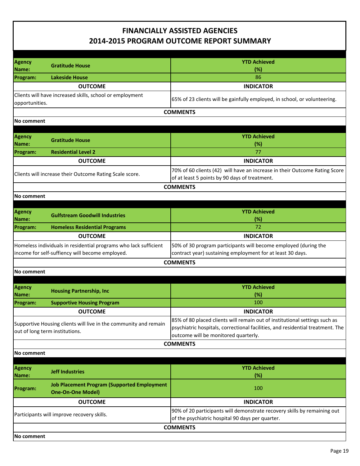|                        |                                                                                                                     | <b>YTD Achieved</b>                                                                                                                                                                                  |
|------------------------|---------------------------------------------------------------------------------------------------------------------|------------------------------------------------------------------------------------------------------------------------------------------------------------------------------------------------------|
| <b>Agency</b><br>Name: | <b>Gratitude House</b>                                                                                              | (%)                                                                                                                                                                                                  |
| Program:               | <b>Lakeside House</b>                                                                                               | 86                                                                                                                                                                                                   |
|                        | <b>OUTCOME</b>                                                                                                      | <b>INDICATOR</b>                                                                                                                                                                                     |
| opportunities.         | Clients will have increased skills, school or employment                                                            | 65% of 23 clients will be gainfully employed, in school, or volunteering.                                                                                                                            |
|                        |                                                                                                                     | <b>COMMENTS</b>                                                                                                                                                                                      |
| No comment             |                                                                                                                     |                                                                                                                                                                                                      |
|                        |                                                                                                                     |                                                                                                                                                                                                      |
| <b>Agency</b><br>Name: | <b>Gratitude House</b>                                                                                              | <b>YTD Achieved</b><br>(%)                                                                                                                                                                           |
| Program:               | <b>Residential Level 2</b>                                                                                          | 77                                                                                                                                                                                                   |
|                        | <b>OUTCOME</b>                                                                                                      | <b>INDICATOR</b>                                                                                                                                                                                     |
|                        | Clients will increase their Outcome Rating Scale score.                                                             | 70% of 60 clients (42) will have an increase in their Outcome Rating Score<br>of at least 5 points by 90 days of treatment.                                                                          |
|                        |                                                                                                                     | <b>COMMENTS</b>                                                                                                                                                                                      |
| <b>No comment</b>      |                                                                                                                     |                                                                                                                                                                                                      |
|                        |                                                                                                                     |                                                                                                                                                                                                      |
| <b>Agency</b><br>Name: | <b>Gulfstream Goodwill Industries</b>                                                                               | <b>YTD Achieved</b><br>(%)                                                                                                                                                                           |
| Program:               | <b>Homeless Residential Programs</b>                                                                                | 72                                                                                                                                                                                                   |
|                        | <b>OUTCOME</b>                                                                                                      | <b>INDICATOR</b>                                                                                                                                                                                     |
|                        | Homeless individuals in residential programs who lack sufficient<br>income for self-suffiency will become employed. | 50% of 30 program participants will become employed (during the<br>contract year) sustaining employment for at least 30 days.                                                                        |
|                        |                                                                                                                     | <b>COMMENTS</b>                                                                                                                                                                                      |
| No comment             |                                                                                                                     |                                                                                                                                                                                                      |
|                        |                                                                                                                     |                                                                                                                                                                                                      |
| <b>Agency</b><br>Name: | <b>Housing Partnership, Inc</b>                                                                                     | <b>YTD Achieved</b><br>(%)                                                                                                                                                                           |
| Program:               | <b>Supportive Housing Program</b>                                                                                   | 100                                                                                                                                                                                                  |
|                        | <b>OUTCOME</b>                                                                                                      | <b>INDICATOR</b>                                                                                                                                                                                     |
|                        | Supportive Housing clients will live in the community and remain<br>out of long term institutions.                  | 85% of 80 placed clients will remain out of institutional settings such as<br>psychiatric hospitals, correctional facilities, and residential treatment. The<br>outcome will be monitored quarterly. |
|                        |                                                                                                                     | <b>COMMENTS</b>                                                                                                                                                                                      |
| No comment             |                                                                                                                     |                                                                                                                                                                                                      |
| <b>Agency</b><br>Name: | <b>Jeff Industries</b>                                                                                              | <b>YTD Achieved</b><br>(%)                                                                                                                                                                           |
| Program:               | <b>Job Placement Program (Supported Employment</b><br><b>One-On-One Model)</b>                                      | 100                                                                                                                                                                                                  |
|                        | <b>OUTCOME</b>                                                                                                      | <b>INDICATOR</b>                                                                                                                                                                                     |
|                        | Participants will improve recovery skills.                                                                          | 90% of 20 participants will demonstrate recovery skills by remaining out<br>of the psychiatric hospital 90 days per quarter.                                                                         |
|                        |                                                                                                                     | <b>COMMENTS</b>                                                                                                                                                                                      |
| No comment             |                                                                                                                     |                                                                                                                                                                                                      |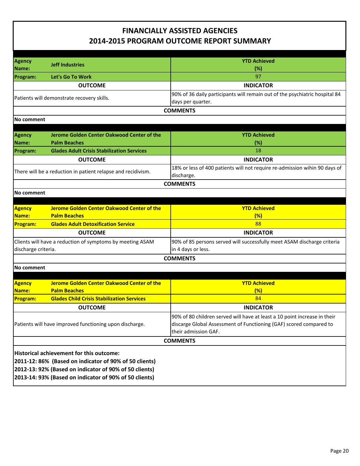| Agency                                                    |                                                              | <b>YTD Achieved</b>                                                                              |
|-----------------------------------------------------------|--------------------------------------------------------------|--------------------------------------------------------------------------------------------------|
| Name:                                                     | <b>Jeff Industries</b>                                       | (%)                                                                                              |
| Program:                                                  | Let's Go To Work                                             | 97                                                                                               |
|                                                           |                                                              | <b>INDICATOR</b>                                                                                 |
|                                                           | <b>OUTCOME</b>                                               |                                                                                                  |
|                                                           | Patients will demonstrate recovery skills.                   | 90% of 36 daily participants will remain out of the psychiatric hospital 84<br>days per quarter. |
|                                                           |                                                              | <b>COMMENTS</b>                                                                                  |
| <b>No comment</b>                                         |                                                              |                                                                                                  |
|                                                           |                                                              |                                                                                                  |
| <b>Agency</b>                                             | Jerome Golden Center Oakwood Center of the                   | <b>YTD Achieved</b>                                                                              |
| Name:                                                     | <b>Palm Beaches</b>                                          | $(\%)$                                                                                           |
| <b>Program:</b>                                           | <b>Glades Adult Crisis Stabilization Services</b>            | 18                                                                                               |
|                                                           | <b>OUTCOME</b>                                               | <b>INDICATOR</b>                                                                                 |
|                                                           | There will be a reduction in patient relapse and recidivism. | 18% or less of 400 patients will not require re-admission wihin 90 days of<br>discharge.         |
|                                                           |                                                              | <b>COMMENTS</b>                                                                                  |
| No comment                                                |                                                              |                                                                                                  |
|                                                           |                                                              |                                                                                                  |
| <b>Agency</b>                                             | Jerome Golden Center Oakwood Center of the                   | <b>YTD Achieved</b>                                                                              |
| Name:                                                     | <b>Palm Beaches</b>                                          | (%)                                                                                              |
| <b>Program:</b>                                           | <b>Glades Adult Detoxification Service</b>                   | 88                                                                                               |
|                                                           | <b>OUTCOME</b>                                               | <b>INDICATOR</b>                                                                                 |
| Clients will have a reduction of symptoms by meeting ASAM |                                                              | 90% of 85 persons served will successfully meet ASAM discharge criteria                          |
| in 4 days or less.<br>discharge criteria.                 |                                                              |                                                                                                  |
|                                                           |                                                              | <b>COMMENTS</b>                                                                                  |
| No comment                                                |                                                              |                                                                                                  |
|                                                           |                                                              |                                                                                                  |
| <b>Agency</b>                                             | <b>Jerome Golden Center Oakwood Center of the</b>            | <b>YTD Achieved</b>                                                                              |
| Name:                                                     | <b>Palm Beaches</b>                                          | (%)                                                                                              |
| <b>Program:</b>                                           | <b>Glades Child Crisis Stabilization Services</b>            | 84                                                                                               |
|                                                           | <b>OUTCOME</b>                                               | <b>INDICATOR</b>                                                                                 |
|                                                           |                                                              | 90% of 80 children served will have at least a 10 point increase in their                        |
|                                                           | Patients will have improved functioning upon discharge.      | discarge Global Assessment of Functioning (GAF) scored compared to                               |
|                                                           |                                                              | their admission GAF.                                                                             |
|                                                           |                                                              | <b>COMMENTS</b>                                                                                  |
|                                                           |                                                              |                                                                                                  |
| Historical achievement for this outcome:                  |                                                              |                                                                                                  |
| 2011-12: 86% (Based on indicator of 90% of 50 clients)    |                                                              |                                                                                                  |
| 2012-13: 92% (Based on indicator of 90% of 50 clients)    |                                                              |                                                                                                  |
| 2013-14: 93% (Based on indicator of 90% of 50 clients)    |                                                              |                                                                                                  |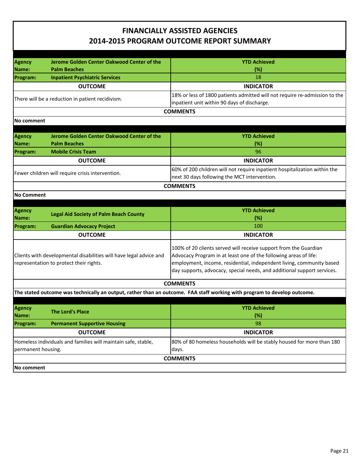| <b>Agency</b>                                                 | Jerome Golden Center Oakwood Center of the                         | <b>YTD Achieved</b>                                                                                                      |
|---------------------------------------------------------------|--------------------------------------------------------------------|--------------------------------------------------------------------------------------------------------------------------|
| Name:                                                         | <b>Palm Beaches</b>                                                | (%)                                                                                                                      |
| Program:                                                      | <b>Inpatient Psychiatric Services</b>                              | 18                                                                                                                       |
|                                                               | <b>OUTCOME</b>                                                     | <b>INDICATOR</b>                                                                                                         |
|                                                               |                                                                    | 18% or less of 1800 patients admitted will not require re-admission to the                                               |
|                                                               | There will be a reduction in patient recidivism.                   | inpatient unit within 90 days of discharge.                                                                              |
|                                                               |                                                                    | <b>COMMENTS</b>                                                                                                          |
| No comment                                                    |                                                                    |                                                                                                                          |
|                                                               |                                                                    |                                                                                                                          |
| <b>Agency</b>                                                 | Jerome Golden Center Oakwood Center of the                         | <b>YTD Achieved</b>                                                                                                      |
| Name:                                                         | <b>Palm Beaches</b><br><b>Mobile Crisis Team</b>                   | (%)<br>96                                                                                                                |
| Program:                                                      | <b>OUTCOME</b>                                                     | <b>INDICATOR</b>                                                                                                         |
|                                                               |                                                                    | 60% of 200 children will not require inpatient hospitalization within the                                                |
|                                                               | Fewer children will require crisis intervention.                   | next 30 days following the MCT intervention.                                                                             |
|                                                               |                                                                    | <b>COMMENTS</b>                                                                                                          |
| <b>No Comment</b>                                             |                                                                    |                                                                                                                          |
|                                                               |                                                                    |                                                                                                                          |
| Agency                                                        |                                                                    | <b>YTD Achieved</b>                                                                                                      |
| Name:                                                         | <b>Legal Aid Society of Palm Beach County</b>                      | (%)                                                                                                                      |
| <b>Program:</b>                                               | <b>Guardian Advocacy Project</b>                                   | 100                                                                                                                      |
|                                                               | <b>OUTCOME</b>                                                     | <b>INDICATOR</b>                                                                                                         |
|                                                               |                                                                    | 100% of 20 clients served will receive support from the Guardian                                                         |
|                                                               | Clients with developmental disabilities will have legal advice and | Advocacy Program in at least one of the following areas of life:                                                         |
|                                                               | representation to protect their rights.                            | employment, income, residential, independent living, community based                                                     |
|                                                               |                                                                    | day supports, advocacy, special needs, and additional support services.                                                  |
|                                                               |                                                                    | <b>COMMENTS</b>                                                                                                          |
|                                                               |                                                                    | The stated outcome was technically an output, rather than an outcome. FAA staff working with program to develop outcome. |
|                                                               |                                                                    |                                                                                                                          |
| <b>Agency</b>                                                 | <b>The Lord's Place</b>                                            | <b>YTD Achieved</b>                                                                                                      |
| Name:                                                         |                                                                    | (%)                                                                                                                      |
| Program:                                                      | <b>Permanent Supportive Housing</b>                                | 98                                                                                                                       |
| <b>OUTCOME</b>                                                |                                                                    | <b>INDICATOR</b>                                                                                                         |
| Homeless individuals and families will maintain safe, stable, |                                                                    | 80% of 80 homeless households will be stably housed for more than 180                                                    |
| permanent housing.<br>days.                                   |                                                                    |                                                                                                                          |
| <b>COMMENTS</b>                                               |                                                                    |                                                                                                                          |
| No comment                                                    |                                                                    |                                                                                                                          |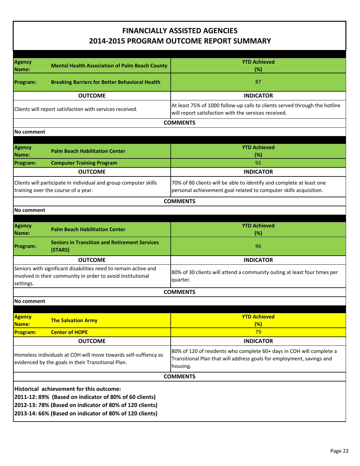| <b>Agency</b><br>Name:                                                                                                                                                                                                   | <b>Mental Health Association of Palm Beach County</b>                                                                          | <b>YTD Achieved</b><br>(%)                                                                                                                                |
|--------------------------------------------------------------------------------------------------------------------------------------------------------------------------------------------------------------------------|--------------------------------------------------------------------------------------------------------------------------------|-----------------------------------------------------------------------------------------------------------------------------------------------------------|
| Program:                                                                                                                                                                                                                 | <b>Breaking Barriers for Better Behavioral Health</b>                                                                          | 87                                                                                                                                                        |
|                                                                                                                                                                                                                          | <b>OUTCOME</b>                                                                                                                 | <b>INDICATOR</b>                                                                                                                                          |
|                                                                                                                                                                                                                          | Clients will report satisfaction with services received.                                                                       | At least 75% of 1000 follow-up calls to clients served through the hotline<br>will report satisfaction with the services received.                        |
|                                                                                                                                                                                                                          |                                                                                                                                | <b>COMMENTS</b>                                                                                                                                           |
| lNo comment                                                                                                                                                                                                              |                                                                                                                                |                                                                                                                                                           |
|                                                                                                                                                                                                                          |                                                                                                                                |                                                                                                                                                           |
| <b>Agency</b><br>Name:                                                                                                                                                                                                   | <b>Palm Beach Habilitation Center</b>                                                                                          | <b>YTD Achieved</b><br>(%)                                                                                                                                |
| Program:                                                                                                                                                                                                                 | <b>Computer Training Program</b>                                                                                               | 92                                                                                                                                                        |
|                                                                                                                                                                                                                          | <b>OUTCOME</b>                                                                                                                 | <b>INDICATOR</b>                                                                                                                                          |
|                                                                                                                                                                                                                          | Clients will participate in individual and group computer skills<br>training over the course of a year.                        | 70% of 80 clients will be able to identify and complete at least one<br>personal achievement goal related to computer skills acquisition.                 |
|                                                                                                                                                                                                                          |                                                                                                                                | <b>COMMENTS</b>                                                                                                                                           |
| lNo comment                                                                                                                                                                                                              |                                                                                                                                |                                                                                                                                                           |
|                                                                                                                                                                                                                          |                                                                                                                                |                                                                                                                                                           |
| <b>Agency</b><br>Name:                                                                                                                                                                                                   | <b>Palm Beach Habilitation Center</b>                                                                                          | <b>YTD Achieved</b><br>(%)                                                                                                                                |
| Program:                                                                                                                                                                                                                 | <b>Seniors in Transition and Retirement Services</b><br>(STARS)                                                                | 96                                                                                                                                                        |
|                                                                                                                                                                                                                          | <b>OUTCOME</b>                                                                                                                 | <b>INDICATOR</b>                                                                                                                                          |
| settings.                                                                                                                                                                                                                | Seniors with significant disabilities need to remain active and<br>involved in their community in order to avoid institutional | 80% of 30 clients will attend a community outing at least four times per<br>quarter.                                                                      |
|                                                                                                                                                                                                                          |                                                                                                                                | <b>COMMENTS</b>                                                                                                                                           |
| No comment                                                                                                                                                                                                               |                                                                                                                                |                                                                                                                                                           |
|                                                                                                                                                                                                                          |                                                                                                                                |                                                                                                                                                           |
| <b>Agency</b><br>Name:                                                                                                                                                                                                   | <b>The Salvation Army</b>                                                                                                      | <b>YTD Achieved</b><br>(%)                                                                                                                                |
| Program:                                                                                                                                                                                                                 | <b>Center of HOPE</b>                                                                                                          | 79                                                                                                                                                        |
|                                                                                                                                                                                                                          | <b>OUTCOME</b>                                                                                                                 | <b>INDICATOR</b>                                                                                                                                          |
| Homeless individuals at COH will move towards self-suffiency as<br>evidenced by the goals in their Transitional Plan.                                                                                                    |                                                                                                                                | 80% of 120 of residents who complete 60+ days in COH will complete a<br>Transitional Plan that will address goals for employment, savings and<br>housing. |
| <b>COMMENTS</b>                                                                                                                                                                                                          |                                                                                                                                |                                                                                                                                                           |
| Historical achievement for this outcome:<br>2011-12: 89% (Based on indicator of 80% of 60 clients)<br>2012-13: 78% (Based on indicator of 80% of 120 clients)<br>2013-14: 66% (Based on indicator of 80% of 120 clients) |                                                                                                                                |                                                                                                                                                           |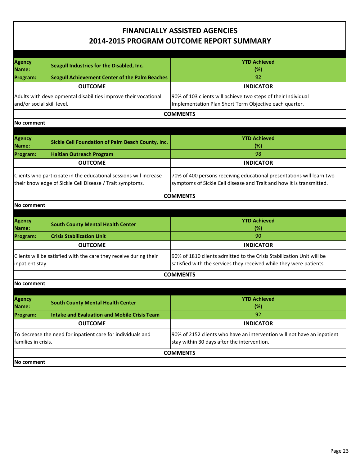| Agency<br>Name:                                                                                                               | Seagull Industries for the Disabled, Inc.                       | <b>YTD Achieved</b><br>(%)                                                                                                                    |
|-------------------------------------------------------------------------------------------------------------------------------|-----------------------------------------------------------------|-----------------------------------------------------------------------------------------------------------------------------------------------|
| Program:                                                                                                                      | <b>Seagull Achievement Center of the Palm Beaches</b>           | 92                                                                                                                                            |
|                                                                                                                               | <b>OUTCOME</b>                                                  | <b>INDICATOR</b>                                                                                                                              |
| and/or social skill level.                                                                                                    | Adults with developmental disabilities improve their vocational | 90% of 103 clients will achieve two steps of their Individual<br>Implementation Plan Short Term Objective each quarter.                       |
|                                                                                                                               |                                                                 | <b>COMMENTS</b>                                                                                                                               |
| No comment                                                                                                                    |                                                                 |                                                                                                                                               |
|                                                                                                                               |                                                                 |                                                                                                                                               |
| Agency<br>Name:                                                                                                               | Sickle Cell Foundation of Palm Beach County, Inc.               | <b>YTD Achieved</b><br>(%)                                                                                                                    |
| Program:                                                                                                                      | <b>Haitian Outreach Program</b>                                 | 98                                                                                                                                            |
|                                                                                                                               | <b>OUTCOME</b>                                                  | <b>INDICATOR</b>                                                                                                                              |
| Clients who participate in the educational sessions will increase<br>their knowledge of Sickle Cell Disease / Trait symptoms. |                                                                 | 70% of 400 persons receiving educational presentations will learn two<br>symptoms of Sickle Cell disease and Trait and how it is transmitted. |
|                                                                                                                               |                                                                 | <b>COMMENTS</b>                                                                                                                               |
| No comment                                                                                                                    |                                                                 |                                                                                                                                               |
|                                                                                                                               |                                                                 |                                                                                                                                               |
| <b>Agency</b><br>Name:                                                                                                        | <b>South County Mental Health Center</b>                        | <b>YTD Achieved</b><br>(%)                                                                                                                    |
| Program:                                                                                                                      | <b>Crisis Stabilization Unit</b>                                | 90                                                                                                                                            |
|                                                                                                                               | <b>OUTCOME</b>                                                  | <b>INDICATOR</b>                                                                                                                              |
| Clients will be satisfied with the care they receive during their<br>inpatient stay.                                          |                                                                 | 90% of 1810 clients admitted to the Crisis Stabilization Unit will be<br>satisfied with the services they received while they were patients.  |
|                                                                                                                               |                                                                 | <b>COMMENTS</b>                                                                                                                               |
| No comment                                                                                                                    |                                                                 |                                                                                                                                               |
|                                                                                                                               |                                                                 |                                                                                                                                               |
| Agency<br>Name:                                                                                                               | <b>South County Mental Health Center</b>                        | <b>YTD Achieved</b><br>(%)                                                                                                                    |
| Program:                                                                                                                      | <b>Intake and Evaluation and Mobile Crisis Team</b>             | 92                                                                                                                                            |
|                                                                                                                               | <b>OUTCOME</b>                                                  | <b>INDICATOR</b>                                                                                                                              |
| To decrease the need for inpatient care for individuals and<br>families in crisis.                                            |                                                                 | 90% of 2152 clients who have an intervention will not have an inpatient<br>stay within 30 days after the intervention.                        |
|                                                                                                                               |                                                                 | <b>COMMENTS</b>                                                                                                                               |
| No comment                                                                                                                    |                                                                 |                                                                                                                                               |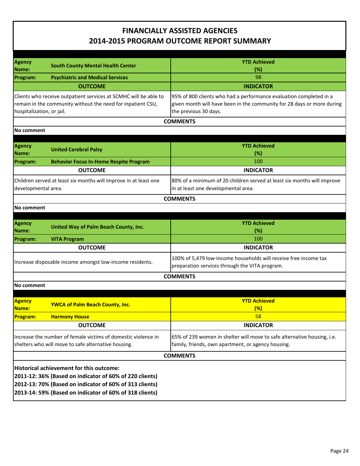| Agency                                                                                                                                                       |                                                                                                                                                                                                                           | <b>YTD Achieved</b>                                                                                                                                                   |
|--------------------------------------------------------------------------------------------------------------------------------------------------------------|---------------------------------------------------------------------------------------------------------------------------------------------------------------------------------------------------------------------------|-----------------------------------------------------------------------------------------------------------------------------------------------------------------------|
| Name:                                                                                                                                                        | <b>South County Mental Health Center</b>                                                                                                                                                                                  | (%)                                                                                                                                                                   |
| Program:                                                                                                                                                     | <b>Psychiatric and Medical Services</b>                                                                                                                                                                                   | 98                                                                                                                                                                    |
|                                                                                                                                                              | <b>OUTCOME</b>                                                                                                                                                                                                            | <b>INDICATOR</b>                                                                                                                                                      |
| Clients who receive outpatient services at SCMHC will be able to<br>remain in the community without the need for inpatient CSU,<br>hospitalization, or jail. |                                                                                                                                                                                                                           | 95% of 800 clients who had a performance evaluation completed in a<br>given month will have been in the community for 28 days or more during<br>the previous 30 days. |
|                                                                                                                                                              |                                                                                                                                                                                                                           | <b>COMMENTS</b>                                                                                                                                                       |
| No comment                                                                                                                                                   |                                                                                                                                                                                                                           |                                                                                                                                                                       |
| <b>Agency</b><br>Name:                                                                                                                                       | <b>United Cerebral Palsy</b>                                                                                                                                                                                              | <b>YTD Achieved</b><br>$(\%)$                                                                                                                                         |
| Program:                                                                                                                                                     | <b>Behavior Focus In-Home Respite Program</b>                                                                                                                                                                             | 100                                                                                                                                                                   |
|                                                                                                                                                              | <b>OUTCOME</b>                                                                                                                                                                                                            | <b>INDICATOR</b>                                                                                                                                                      |
| Children served at least six months will improve in at least one<br>developmental area.                                                                      |                                                                                                                                                                                                                           | 80% of a minimum of 20 children served at least six months will improve<br>in at least one developmental area.                                                        |
|                                                                                                                                                              |                                                                                                                                                                                                                           | <b>COMMENTS</b>                                                                                                                                                       |
| No comment                                                                                                                                                   |                                                                                                                                                                                                                           |                                                                                                                                                                       |
| <b>Agency</b><br>Name:                                                                                                                                       | United Way of Palm Beach County, Inc.                                                                                                                                                                                     | <b>YTD Achieved</b><br>(%)                                                                                                                                            |
| Program:                                                                                                                                                     | <b>VITA Program</b>                                                                                                                                                                                                       | 100                                                                                                                                                                   |
|                                                                                                                                                              | <b>OUTCOME</b>                                                                                                                                                                                                            | <b>INDICATOR</b>                                                                                                                                                      |
| Increase disposable income amongst low-income residents.                                                                                                     |                                                                                                                                                                                                                           | 100% of 5,479 low-income households will receive free income tax<br>preparation services through the VITA program.                                                    |
|                                                                                                                                                              |                                                                                                                                                                                                                           | <b>COMMENTS</b>                                                                                                                                                       |
| No comment                                                                                                                                                   |                                                                                                                                                                                                                           |                                                                                                                                                                       |
| <b>Agency</b><br>Name:                                                                                                                                       | <b>YWCA of Palm Beach County, Inc.</b>                                                                                                                                                                                    | <b>YTD Achieved</b><br>$(\%)$                                                                                                                                         |
| Program:                                                                                                                                                     | <b>Harmony House</b>                                                                                                                                                                                                      | 58                                                                                                                                                                    |
|                                                                                                                                                              | <b>OUTCOME</b>                                                                                                                                                                                                            | <b>INDICATOR</b>                                                                                                                                                      |
| Increase the number of female victims of domestic violence in<br>shelters who will move to safe alternative housing.                                         |                                                                                                                                                                                                                           | 65% of 239 women in shelter will move to safe alternative housing, i.e.<br>family, friends, own apartment, or agency housing.                                         |
|                                                                                                                                                              |                                                                                                                                                                                                                           | <b>COMMENTS</b>                                                                                                                                                       |
|                                                                                                                                                              | Historical achievement for this outcome:<br>2011-12: 36% (Based on indicator of 60% of 220 clients)<br>2012-13: 70% (Based on indicator of 60% of 313 clients)<br>2013-14: 59% (Based on indicator of 60% of 318 clients) |                                                                                                                                                                       |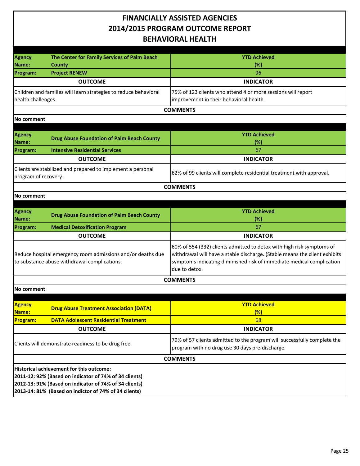| <b>Agency</b><br>Name:                                                                                      | The Center for Family Services of Palm Beach<br>County                                                                                                                                                                | <b>YTD Achieved</b><br>(%)                                                                                                                                                                                                                    |
|-------------------------------------------------------------------------------------------------------------|-----------------------------------------------------------------------------------------------------------------------------------------------------------------------------------------------------------------------|-----------------------------------------------------------------------------------------------------------------------------------------------------------------------------------------------------------------------------------------------|
| Program:                                                                                                    | <b>Project RENEW</b>                                                                                                                                                                                                  | 96                                                                                                                                                                                                                                            |
|                                                                                                             | <b>OUTCOME</b>                                                                                                                                                                                                        | <b>INDICATOR</b>                                                                                                                                                                                                                              |
| health challenges.                                                                                          | Children and families will learn strategies to reduce behavioral                                                                                                                                                      | 75% of 123 clients who attend 4 or more sessions will report<br>improvement in their behavioral health.                                                                                                                                       |
|                                                                                                             |                                                                                                                                                                                                                       | <b>COMMENTS</b>                                                                                                                                                                                                                               |
| No comment                                                                                                  |                                                                                                                                                                                                                       |                                                                                                                                                                                                                                               |
|                                                                                                             |                                                                                                                                                                                                                       |                                                                                                                                                                                                                                               |
| Agency<br>Name:                                                                                             | <b>Drug Abuse Foundation of Palm Beach County</b>                                                                                                                                                                     | <b>YTD Achieved</b><br>(%)                                                                                                                                                                                                                    |
| <b>Program:</b>                                                                                             | <b>Intensive Residential Services</b>                                                                                                                                                                                 | 67                                                                                                                                                                                                                                            |
|                                                                                                             | <b>OUTCOME</b>                                                                                                                                                                                                        | <b>INDICATOR</b>                                                                                                                                                                                                                              |
| program of recovery.                                                                                        | Clients are stabilized and prepared to implement a personal                                                                                                                                                           | 62% of 99 clients will complete residential treatment with approval.                                                                                                                                                                          |
|                                                                                                             |                                                                                                                                                                                                                       | <b>COMMENTS</b>                                                                                                                                                                                                                               |
| No comment                                                                                                  |                                                                                                                                                                                                                       |                                                                                                                                                                                                                                               |
|                                                                                                             |                                                                                                                                                                                                                       |                                                                                                                                                                                                                                               |
| <b>Agency</b><br>Name:                                                                                      | <b>Drug Abuse Foundation of Palm Beach County</b>                                                                                                                                                                     | <b>YTD Achieved</b><br>(%)                                                                                                                                                                                                                    |
| Program:                                                                                                    | <b>Medical Detoxification Program</b>                                                                                                                                                                                 | 67                                                                                                                                                                                                                                            |
|                                                                                                             | <b>OUTCOME</b>                                                                                                                                                                                                        | <b>INDICATOR</b>                                                                                                                                                                                                                              |
| Reduce hospital emergency room admissions and/or deaths due<br>to substance abuse withdrawal complications. |                                                                                                                                                                                                                       | 60% of 554 (332) clients admitted to detox with high risk symptoms of<br>withdrawal will have a stable discharge. (Stable means the client exhibits<br>symptoms indicating diminished risk of immediate medical complication<br>due to detox. |
|                                                                                                             |                                                                                                                                                                                                                       | <b>COMMENTS</b>                                                                                                                                                                                                                               |
| <b>No comment</b>                                                                                           |                                                                                                                                                                                                                       |                                                                                                                                                                                                                                               |
|                                                                                                             |                                                                                                                                                                                                                       |                                                                                                                                                                                                                                               |
| <b>Agency</b><br>Name:                                                                                      | <b>Drug Abuse Treatment Association (DATA)</b>                                                                                                                                                                        | <b>YTD Achieved</b><br>(%)                                                                                                                                                                                                                    |
| <b>Program:</b>                                                                                             | <b>DATA Adolescent Residential Treatment</b>                                                                                                                                                                          | 68                                                                                                                                                                                                                                            |
|                                                                                                             | <b>OUTCOME</b>                                                                                                                                                                                                        | <b>INDICATOR</b>                                                                                                                                                                                                                              |
| Clients will demonstrate readiness to be drug free.                                                         |                                                                                                                                                                                                                       | 79% of 57 clients admitted to the program will successfully complete the<br>program with no drug use 30 days pre-discharge.                                                                                                                   |
|                                                                                                             |                                                                                                                                                                                                                       | <b>COMMENTS</b>                                                                                                                                                                                                                               |
|                                                                                                             | Historical achievement for this outcome:<br>2011-12: 92% (Based on indicator of 74% of 34 clients)<br>2012-13: 91% (Based on indicator of 74% of 34 clients)<br>2013-14: 81% (Based on indictor of 74% of 34 clients) |                                                                                                                                                                                                                                               |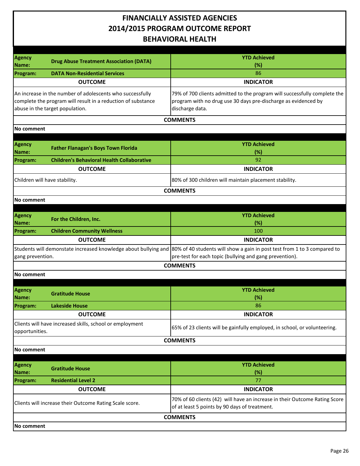| <b>Agency</b>                                           | <b>Drug Abuse Treatment Association (DATA)</b>               | <b>YTD Achieved</b>                                                                                                                      |
|---------------------------------------------------------|--------------------------------------------------------------|------------------------------------------------------------------------------------------------------------------------------------------|
| Name:                                                   |                                                              | (%)                                                                                                                                      |
| Program:                                                | <b>DATA Non-Residential Services</b>                         | 86                                                                                                                                       |
|                                                         | <b>OUTCOME</b>                                               | <b>INDICATOR</b>                                                                                                                         |
|                                                         | An increase in the number of adolescents who successfully    | 79% of 700 clients admitted to the program will successfully complete the                                                                |
|                                                         | complete the program will result in a reduction of substance | program with no drug use 30 days pre-discharge as evidenced by                                                                           |
|                                                         | abuse in the target population.                              | discharge data.                                                                                                                          |
|                                                         |                                                              | <b>COMMENTS</b>                                                                                                                          |
| No comment                                              |                                                              |                                                                                                                                          |
|                                                         |                                                              |                                                                                                                                          |
| <b>Agency</b>                                           |                                                              | <b>YTD Achieved</b>                                                                                                                      |
| Name:                                                   | <b>Father Flanagan's Boys Town Florida</b>                   | (%)                                                                                                                                      |
| Program:                                                | <b>Children's Behavioral Health Collaborative</b>            | 92                                                                                                                                       |
|                                                         | <b>OUTCOME</b>                                               | <b>INDICATOR</b>                                                                                                                         |
|                                                         |                                                              |                                                                                                                                          |
| Children will have stability.                           |                                                              | 80% of 300 children will maintain placement stability.                                                                                   |
|                                                         |                                                              | <b>COMMENTS</b>                                                                                                                          |
| No comment                                              |                                                              |                                                                                                                                          |
|                                                         |                                                              |                                                                                                                                          |
| Agency                                                  | For the Children, Inc.                                       | <b>YTD Achieved</b>                                                                                                                      |
| Name:                                                   |                                                              | (%)                                                                                                                                      |
| Program:                                                | <b>Children Community Wellness</b>                           | 100                                                                                                                                      |
|                                                         | <b>OUTCOME</b>                                               | <b>INDICATOR</b>                                                                                                                         |
|                                                         |                                                              | Students will demonstate increased knowledge about bullying and 80% of 40 students will show a gain in post test from 1 to 3 compared to |
| gang prevention.                                        |                                                              | pre-test for each topic (bullying and gang prevention).                                                                                  |
|                                                         |                                                              | <b>COMMENTS</b>                                                                                                                          |
| No comment                                              |                                                              |                                                                                                                                          |
|                                                         |                                                              |                                                                                                                                          |
| <b>Agency</b>                                           |                                                              | <b>YTD Achieved</b>                                                                                                                      |
| Name:                                                   | <b>Gratitude House</b>                                       | (%)                                                                                                                                      |
| Program:                                                | Lakeside House                                               | 86                                                                                                                                       |
|                                                         | <b>OUTCOME</b>                                               | <b>INDICATOR</b>                                                                                                                         |
|                                                         | Clients will have increased skills, school or employment     |                                                                                                                                          |
| opportunities.                                          |                                                              | 65% of 23 clients will be gainfully employed, in school, or volunteering.                                                                |
|                                                         |                                                              | <b>COMMENTS</b>                                                                                                                          |
| No comment                                              |                                                              |                                                                                                                                          |
|                                                         |                                                              |                                                                                                                                          |
| <b>Agency</b>                                           |                                                              | <b>YTD Achieved</b>                                                                                                                      |
| Name:                                                   | <b>Gratitude House</b>                                       | (%)                                                                                                                                      |
| Program:                                                | <b>Residential Level 2</b>                                   | 77                                                                                                                                       |
|                                                         | <b>OUTCOME</b>                                               | <b>INDICATOR</b>                                                                                                                         |
|                                                         |                                                              | 70% of 60 clients (42) will have an increase in their Outcome Rating Score                                                               |
| Clients will increase their Outcome Rating Scale score. |                                                              | of at least 5 points by 90 days of treatment.                                                                                            |
|                                                         |                                                              |                                                                                                                                          |
|                                                         |                                                              | <b>COMMENTS</b>                                                                                                                          |
| No comment                                              |                                                              |                                                                                                                                          |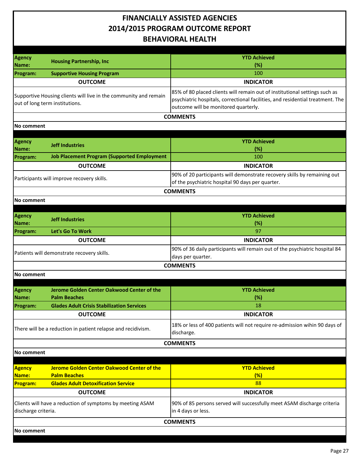| <b>Agency</b><br>Name:                                                           | <b>Housing Partnership, Inc</b>                                                                    | <b>YTD Achieved</b><br>(%)                                                                                                                                                                           |
|----------------------------------------------------------------------------------|----------------------------------------------------------------------------------------------------|------------------------------------------------------------------------------------------------------------------------------------------------------------------------------------------------------|
| Program:                                                                         | <b>Supportive Housing Program</b>                                                                  | 100                                                                                                                                                                                                  |
|                                                                                  | <b>OUTCOME</b>                                                                                     | <b>INDICATOR</b>                                                                                                                                                                                     |
|                                                                                  | Supportive Housing clients will live in the community and remain<br>out of long term institutions. | 85% of 80 placed clients will remain out of institutional settings such as<br>psychiatric hospitals, correctional facilities, and residential treatment. The<br>outcome will be monitored quarterly. |
|                                                                                  |                                                                                                    | <b>COMMENTS</b>                                                                                                                                                                                      |
| No comment                                                                       |                                                                                                    |                                                                                                                                                                                                      |
|                                                                                  |                                                                                                    |                                                                                                                                                                                                      |
| <b>Agency</b><br>Name:                                                           | <b>Jeff Industries</b>                                                                             | <b>YTD Achieved</b><br>(%)                                                                                                                                                                           |
| Program:                                                                         | <b>Job Placement Program (Supported Employment</b>                                                 | 100                                                                                                                                                                                                  |
|                                                                                  | <b>OUTCOME</b>                                                                                     | <b>INDICATOR</b>                                                                                                                                                                                     |
|                                                                                  | Participants will improve recovery skills.                                                         | 90% of 20 participants will demonstrate recovery skills by remaining out<br>of the psychiatric hospital 90 days per quarter.                                                                         |
|                                                                                  |                                                                                                    | <b>COMMENTS</b>                                                                                                                                                                                      |
| No comment                                                                       |                                                                                                    |                                                                                                                                                                                                      |
|                                                                                  |                                                                                                    |                                                                                                                                                                                                      |
| <b>Agency</b><br>Name:                                                           | <b>Jeff Industries</b>                                                                             | <b>YTD Achieved</b><br>(%)                                                                                                                                                                           |
| Program:                                                                         | Let's Go To Work                                                                                   | 97                                                                                                                                                                                                   |
|                                                                                  | <b>OUTCOME</b>                                                                                     | <b>INDICATOR</b>                                                                                                                                                                                     |
|                                                                                  | Patients will demonstrate recovery skills.                                                         | 90% of 36 daily participants will remain out of the psychiatric hospital 84<br>days per quarter.                                                                                                     |
|                                                                                  |                                                                                                    | <b>COMMENTS</b>                                                                                                                                                                                      |
| No comment                                                                       |                                                                                                    |                                                                                                                                                                                                      |
| <b>Agency</b><br>Name:                                                           | Jerome Golden Center Oakwood Center of the<br><b>Palm Beaches</b>                                  | <b>YTD Achieved</b><br>(%)                                                                                                                                                                           |
| Program:                                                                         | <b>Glades Adult Crisis Stabilization Services</b>                                                  | 18                                                                                                                                                                                                   |
|                                                                                  | <b>OUTCOME</b>                                                                                     | <b>INDICATOR</b>                                                                                                                                                                                     |
|                                                                                  | There will be a reduction in patient relapse and recidivism.                                       | 18% or less of 400 patients will not require re-admission wihin 90 days of<br>discharge.                                                                                                             |
|                                                                                  |                                                                                                    | <b>COMMENTS</b>                                                                                                                                                                                      |
| No comment                                                                       |                                                                                                    |                                                                                                                                                                                                      |
|                                                                                  |                                                                                                    |                                                                                                                                                                                                      |
| <b>Agency</b><br>Name:                                                           | Jerome Golden Center Oakwood Center of the<br><b>Palm Beaches</b>                                  | <b>YTD Achieved</b><br>(%)                                                                                                                                                                           |
| <b>Program:</b>                                                                  | <b>Glades Adult Detoxification Service</b>                                                         | 88                                                                                                                                                                                                   |
|                                                                                  | <b>OUTCOME</b>                                                                                     | <b>INDICATOR</b>                                                                                                                                                                                     |
| Clients will have a reduction of symptoms by meeting ASAM<br>discharge criteria. |                                                                                                    | 90% of 85 persons served will successfully meet ASAM discharge criteria<br>in 4 days or less.                                                                                                        |
|                                                                                  |                                                                                                    | <b>COMMENTS</b>                                                                                                                                                                                      |
| No comment                                                                       |                                                                                                    |                                                                                                                                                                                                      |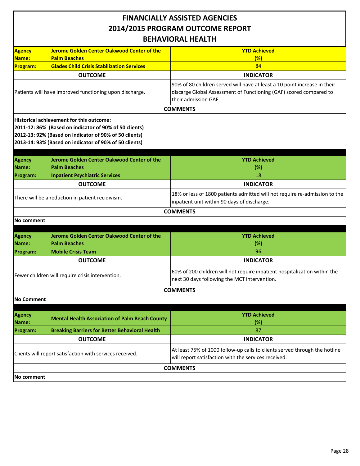| <b>BEHAVIORAL HEALTH</b>                                                                                                                                                                                                      |                                                       |                                                                                                                                                                         |  |
|-------------------------------------------------------------------------------------------------------------------------------------------------------------------------------------------------------------------------------|-------------------------------------------------------|-------------------------------------------------------------------------------------------------------------------------------------------------------------------------|--|
| <b>Agency</b>                                                                                                                                                                                                                 | <b>Jerome Golden Center Oakwood Center of the</b>     | <b>YTD Achieved</b>                                                                                                                                                     |  |
| Name:                                                                                                                                                                                                                         | <b>Palm Beaches</b>                                   | (%)                                                                                                                                                                     |  |
| <b>Program:</b>                                                                                                                                                                                                               | <b>Glades Child Crisis Stabilization Services</b>     | 84                                                                                                                                                                      |  |
|                                                                                                                                                                                                                               | <b>OUTCOME</b>                                        | <b>INDICATOR</b>                                                                                                                                                        |  |
| Patients will have improved functioning upon discharge.                                                                                                                                                                       |                                                       | 90% of 80 children served will have at least a 10 point increase in their<br>discarge Global Assessment of Functioning (GAF) scored compared to<br>their admission GAF. |  |
|                                                                                                                                                                                                                               |                                                       | <b>COMMENTS</b>                                                                                                                                                         |  |
| <b>Historical achievement for this outcome:</b><br>2011-12: 86% (Based on indicator of 90% of 50 clients)<br>2012-13: 92% (Based on indicator of 90% of 50 clients)<br>2013-14: 93% (Based on indicator of 90% of 50 clients) |                                                       |                                                                                                                                                                         |  |
| <b>Agency</b>                                                                                                                                                                                                                 | Jerome Golden Center Oakwood Center of the            | <b>YTD Achieved</b>                                                                                                                                                     |  |
| Name:                                                                                                                                                                                                                         | <b>Palm Beaches</b>                                   | (%)                                                                                                                                                                     |  |
| Program:                                                                                                                                                                                                                      | <b>Inpatient Psychiatric Services</b>                 | 18                                                                                                                                                                      |  |
|                                                                                                                                                                                                                               | <b>OUTCOME</b>                                        | <b>INDICATOR</b>                                                                                                                                                        |  |
| There will be a reduction in patient recidivism.                                                                                                                                                                              |                                                       | 18% or less of 1800 patients admitted will not require re-admission to the<br>inpatient unit within 90 days of discharge.                                               |  |
|                                                                                                                                                                                                                               |                                                       | <b>COMMENTS</b>                                                                                                                                                         |  |
| No comment                                                                                                                                                                                                                    |                                                       |                                                                                                                                                                         |  |
|                                                                                                                                                                                                                               | Jerome Golden Center Oakwood Center of the            | <b>YTD Achieved</b>                                                                                                                                                     |  |
| <b>Agency</b><br>Name:                                                                                                                                                                                                        | <b>Palm Beaches</b>                                   | (%)                                                                                                                                                                     |  |
| Program:                                                                                                                                                                                                                      | <b>Mobile Crisis Team</b>                             | 96                                                                                                                                                                      |  |
|                                                                                                                                                                                                                               | <b>OUTCOME</b>                                        | <b>INDICATOR</b>                                                                                                                                                        |  |
| Fewer children will require crisis intervention.                                                                                                                                                                              |                                                       | 60% of 200 children will not require inpatient hospitalization within the<br>next 30 days following the MCT intervention.                                               |  |
|                                                                                                                                                                                                                               |                                                       | <b>COMMENTS</b>                                                                                                                                                         |  |
| <b>No Comment</b>                                                                                                                                                                                                             |                                                       |                                                                                                                                                                         |  |
| <b>Agency</b><br><b>Name:</b>                                                                                                                                                                                                 | <b>Mental Health Association of Palm Beach County</b> | <b>YTD Achieved</b><br>(%)                                                                                                                                              |  |
| Program:                                                                                                                                                                                                                      | <b>Breaking Barriers for Better Behavioral Health</b> | 87                                                                                                                                                                      |  |
|                                                                                                                                                                                                                               | <b>OUTCOME</b><br><b>INDICATOR</b>                    |                                                                                                                                                                         |  |
| Clients will report satisfaction with services received.                                                                                                                                                                      |                                                       | At least 75% of 1000 follow-up calls to clients served through the hotline<br>will report satisfaction with the services received.                                      |  |
|                                                                                                                                                                                                                               |                                                       | <b>COMMENTS</b>                                                                                                                                                         |  |
| No comment                                                                                                                                                                                                                    |                                                       |                                                                                                                                                                         |  |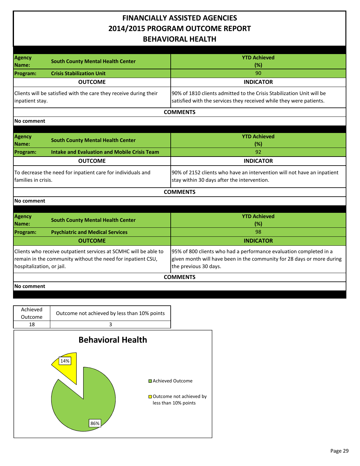| <b>Agency</b>                                                                                                                                                | <b>South County Mental Health Center</b>                          | <b>YTD Achieved</b>                                                                                                                                                   |  |
|--------------------------------------------------------------------------------------------------------------------------------------------------------------|-------------------------------------------------------------------|-----------------------------------------------------------------------------------------------------------------------------------------------------------------------|--|
| Name:                                                                                                                                                        |                                                                   | (%)                                                                                                                                                                   |  |
| <b>Program:</b>                                                                                                                                              | <b>Crisis Stabilization Unit</b>                                  | 90                                                                                                                                                                    |  |
|                                                                                                                                                              | <b>OUTCOME</b>                                                    | <b>INDICATOR</b>                                                                                                                                                      |  |
| inpatient stay.                                                                                                                                              | Clients will be satisfied with the care they receive during their | 90% of 1810 clients admitted to the Crisis Stabilization Unit will be<br>satisfied with the services they received while they were patients.                          |  |
|                                                                                                                                                              |                                                                   | <b>COMMENTS</b>                                                                                                                                                       |  |
| No comment                                                                                                                                                   |                                                                   |                                                                                                                                                                       |  |
|                                                                                                                                                              |                                                                   |                                                                                                                                                                       |  |
| Agency<br>Name:                                                                                                                                              | <b>South County Mental Health Center</b>                          | <b>YTD Achieved</b><br>(%)                                                                                                                                            |  |
| Program:                                                                                                                                                     | <b>Intake and Evaluation and Mobile Crisis Team</b>               | 92                                                                                                                                                                    |  |
|                                                                                                                                                              | <b>OUTCOME</b>                                                    | <b>INDICATOR</b>                                                                                                                                                      |  |
| To decrease the need for inpatient care for individuals and<br>families in crisis.                                                                           |                                                                   | 90% of 2152 clients who have an intervention will not have an inpatient<br>stay within 30 days after the intervention.                                                |  |
|                                                                                                                                                              |                                                                   | <b>COMMENTS</b>                                                                                                                                                       |  |
| No comment                                                                                                                                                   |                                                                   |                                                                                                                                                                       |  |
| <b>Agency</b><br>Name:                                                                                                                                       | <b>South County Mental Health Center</b>                          | <b>YTD Achieved</b><br>(%)                                                                                                                                            |  |
| Program:                                                                                                                                                     | <b>Psychiatric and Medical Services</b>                           | 98                                                                                                                                                                    |  |
|                                                                                                                                                              | <b>OUTCOME</b>                                                    | <b>INDICATOR</b>                                                                                                                                                      |  |
| Clients who receive outpatient services at SCMHC will be able to<br>remain in the community without the need for inpatient CSU,<br>hospitalization, or jail. |                                                                   | 95% of 800 clients who had a performance evaluation completed in a<br>given month will have been in the community for 28 days or more during<br>the previous 30 days. |  |
|                                                                                                                                                              |                                                                   | <b>COMMENTS</b>                                                                                                                                                       |  |
| <b>No comment</b>                                                                                                                                            |                                                                   |                                                                                                                                                                       |  |
|                                                                                                                                                              |                                                                   |                                                                                                                                                                       |  |
|                                                                                                                                                              |                                                                   |                                                                                                                                                                       |  |
| Achieved<br>Outcome                                                                                                                                          | Outcome not achieved by less than 10% points                      |                                                                                                                                                                       |  |
| 18                                                                                                                                                           | 3                                                                 |                                                                                                                                                                       |  |
|                                                                                                                                                              |                                                                   |                                                                                                                                                                       |  |
|                                                                                                                                                              | <b>Behavioral Health</b>                                          |                                                                                                                                                                       |  |
|                                                                                                                                                              | 14%                                                               | <b>□</b> Achieved Outcome                                                                                                                                             |  |

86%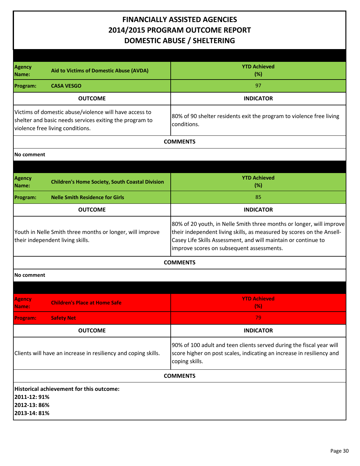#### **FINANCIALLY ASSISTED AGENCIES 2014/2015 PROGRAM OUTCOME REPORT DOMESTIC ABUSE / SHELTERING**

| Agency<br>Name:                                                                                                                                       | Aid to Victims of Domestic Abuse (AVDA)                | <b>YTD Achieved</b><br>(%)                                                                                                                                                                                                                                   |
|-------------------------------------------------------------------------------------------------------------------------------------------------------|--------------------------------------------------------|--------------------------------------------------------------------------------------------------------------------------------------------------------------------------------------------------------------------------------------------------------------|
| Program:                                                                                                                                              | <b>CASA VESGO</b>                                      | 97                                                                                                                                                                                                                                                           |
|                                                                                                                                                       | <b>OUTCOME</b>                                         | <b>INDICATOR</b>                                                                                                                                                                                                                                             |
| Victims of domestic abuse/violence will have access to<br>shelter and basic needs services exiting the program to<br>violence free living conditions. |                                                        | 80% of 90 shelter residents exit the program to violence free living<br>conditions.                                                                                                                                                                          |
|                                                                                                                                                       |                                                        | <b>COMMENTS</b>                                                                                                                                                                                                                                              |
| No comment                                                                                                                                            |                                                        |                                                                                                                                                                                                                                                              |
|                                                                                                                                                       |                                                        |                                                                                                                                                                                                                                                              |
| <b>Agency</b><br>Name:                                                                                                                                | <b>Children's Home Society, South Coastal Division</b> | <b>YTD Achieved</b><br>(%)                                                                                                                                                                                                                                   |
| Program:                                                                                                                                              | <b>Nelle Smith Residence for Girls</b>                 | 85                                                                                                                                                                                                                                                           |
|                                                                                                                                                       | <b>OUTCOME</b>                                         | <b>INDICATOR</b>                                                                                                                                                                                                                                             |
| Youth in Nelle Smith three months or longer, will improve<br>their independent living skills.                                                         |                                                        | 80% of 20 youth, in Nelle Smith three months or longer, will improve<br>their independent living skills, as measured by scores on the Ansell-<br>Casey Life Skills Assessment, and will maintain or continue to<br>improve scores on subsequent assessments. |
|                                                                                                                                                       |                                                        | <b>COMMENTS</b>                                                                                                                                                                                                                                              |
| No comment                                                                                                                                            |                                                        |                                                                                                                                                                                                                                                              |
|                                                                                                                                                       |                                                        |                                                                                                                                                                                                                                                              |
| <b>Agency</b><br>Name:                                                                                                                                | <b>Children's Place at Home Safe</b>                   | <b>YTD Achieved</b><br>(% )                                                                                                                                                                                                                                  |
| Program:                                                                                                                                              | <b>Safety Net</b>                                      | 79.                                                                                                                                                                                                                                                          |
|                                                                                                                                                       | <b>OUTCOME</b>                                         | <b>INDICATOR</b>                                                                                                                                                                                                                                             |
| Clients will have an increase in resiliency and coping skills.                                                                                        |                                                        | 90% of 100 adult and teen clients served during the fiscal year will<br>score higher on post scales, indicating an increase in resiliency and<br>coping skills.                                                                                              |
|                                                                                                                                                       |                                                        | <b>COMMENTS</b>                                                                                                                                                                                                                                              |
| 2011-12: 91%<br>2012-13:86%<br>2013-14: 81%                                                                                                           | Historical achievement for this outcome:               |                                                                                                                                                                                                                                                              |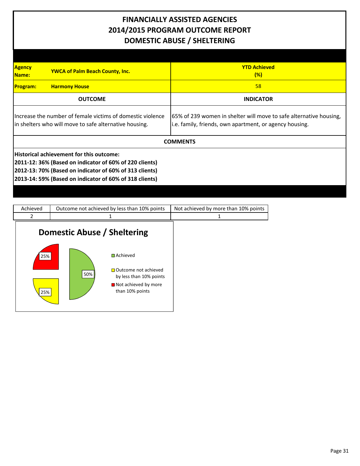#### **FINANCIALLY ASSISTED AGENCIES 2014/2015 PROGRAM OUTCOME REPORT DOMESTIC ABUSE / SHELTERING**

| <b>Agency</b><br><b>YWCA of Palm Beach County, Inc.</b><br>Name:                                                                                                                                                          | <b>YTD Achieved</b><br>(%)                                                                                                    |  |
|---------------------------------------------------------------------------------------------------------------------------------------------------------------------------------------------------------------------------|-------------------------------------------------------------------------------------------------------------------------------|--|
| <b>Program:</b><br><b>Harmony House</b>                                                                                                                                                                                   | 58                                                                                                                            |  |
| <b>OUTCOME</b>                                                                                                                                                                                                            | <b>INDICATOR</b>                                                                                                              |  |
| Increase the number of female victims of domestic violence<br>in shelters who will move to safe alternative housing.                                                                                                      | 65% of 239 women in shelter will move to safe alternative housing,<br>i.e. family, friends, own apartment, or agency housing. |  |
|                                                                                                                                                                                                                           | <b>COMMENTS</b>                                                                                                               |  |
| Historical achievement for this outcome:<br>2011-12: 36% (Based on indicator of 60% of 220 clients)<br>2012-13: 70% (Based on indicator of 60% of 313 clients)<br>2013-14: 59% (Based on indicator of 60% of 318 clients) |                                                                                                                               |  |

| Achieved   | Outcome not achieved by less than 10% points                                                                                  | Not achieved by more than 10% points |
|------------|-------------------------------------------------------------------------------------------------------------------------------|--------------------------------------|
| 2          |                                                                                                                               |                                      |
|            | Domestic Abuse / Sheltering                                                                                                   |                                      |
| 25%<br>25% | $\Box$ Achieved<br>$\Box$ Outcome not achieved<br>50%<br>by less than 10% points<br>■ Not achieved by more<br>than 10% points |                                      |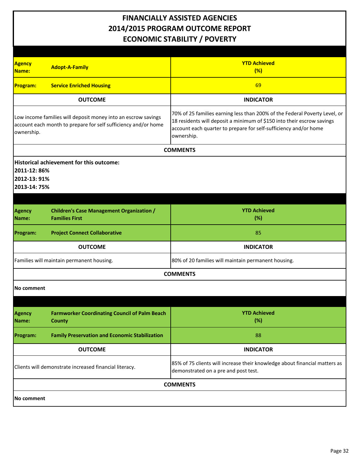#### **FINANCIALLY ASSISTED AGENCIES 2014/2015 PROGRAM OUTCOME REPORT ECONOMIC STABILITY / POVERTY**

| <b>Agency</b><br><b>Adopt-A-Family</b><br>Name:                                                                                               | <b>YTD Achieved</b><br>(%)                                                                                                                                                                                                             |
|-----------------------------------------------------------------------------------------------------------------------------------------------|----------------------------------------------------------------------------------------------------------------------------------------------------------------------------------------------------------------------------------------|
| <b>Service Enriched Housing</b><br><b>Program:</b>                                                                                            | 69                                                                                                                                                                                                                                     |
| <b>OUTCOME</b>                                                                                                                                | <b>INDICATOR</b>                                                                                                                                                                                                                       |
| Low income families will deposit money into an escrow savings<br>account each month to prepare for self sufficiency and/or home<br>ownership. | 70% of 25 families earning less than 200% of the Federal Poverty Level, or<br>18 residents will deposit a minimum of \$150 into their escrow savings<br>account each quarter to prepare for self-sufficiency and/or home<br>ownership. |
|                                                                                                                                               | <b>COMMENTS</b>                                                                                                                                                                                                                        |
| Historical achievement for this outcome:<br>2011-12: 86%<br>2012-13: 91%<br>2013-14: 75%                                                      |                                                                                                                                                                                                                                        |
| <b>Children's Case Management Organization /</b><br><b>Agency</b><br><b>Families First</b><br>Name:                                           | <b>YTD Achieved</b><br>(%)                                                                                                                                                                                                             |
| <b>Project Connect Collaborative</b><br>Program:                                                                                              | 85                                                                                                                                                                                                                                     |
| <b>OUTCOME</b>                                                                                                                                | <b>INDICATOR</b>                                                                                                                                                                                                                       |
| Families will maintain permanent housing.                                                                                                     | 80% of 20 families will maintain permanent housing.                                                                                                                                                                                    |
|                                                                                                                                               | <b>COMMENTS</b>                                                                                                                                                                                                                        |
| No comment                                                                                                                                    |                                                                                                                                                                                                                                        |
|                                                                                                                                               |                                                                                                                                                                                                                                        |
| <b>Farmworker Coordinating Council of Palm Beach</b><br><b>Agency</b><br>Name:<br><b>County</b>                                               | <b>YTD Achieved</b><br>(%)                                                                                                                                                                                                             |
| <b>Family Preservation and Economic Stabilization</b><br>Program:                                                                             | 88                                                                                                                                                                                                                                     |
| <b>OUTCOME</b>                                                                                                                                | <b>INDICATOR</b>                                                                                                                                                                                                                       |
| Clients will demonstrate increased financial literacy.                                                                                        | 85% of 75 clients will increase their knowledge about financial matters as<br>demonstrated on a pre and post test.                                                                                                                     |
|                                                                                                                                               | <b>COMMENTS</b>                                                                                                                                                                                                                        |
| No comment                                                                                                                                    |                                                                                                                                                                                                                                        |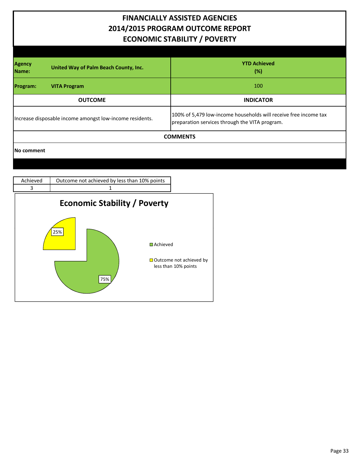#### **FINANCIALLY ASSISTED AGENCIES 2014/2015 PROGRAM OUTCOME REPORT ECONOMIC STABILITY / POVERTY**

| <b>Agency</b><br>United Way of Palm Beach County, Inc.<br>Name: | <b>YTD Achieved</b><br>$(\%)$                                                                                      |  |
|-----------------------------------------------------------------|--------------------------------------------------------------------------------------------------------------------|--|
| Program:<br><b>VITA Program</b>                                 | 100                                                                                                                |  |
| <b>OUTCOME</b>                                                  | <b>INDICATOR</b>                                                                                                   |  |
| Increase disposable income amongst low-income residents.        | 100% of 5,479 low-income households will receive free income tax<br>preparation services through the VITA program. |  |
| <b>COMMENTS</b>                                                 |                                                                                                                    |  |
| No comment                                                      |                                                                                                                    |  |

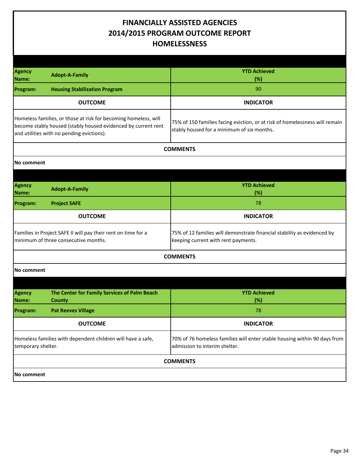#### **FINANCIALLY ASSISTED AGENCIES 2014/2015 PROGRAM OUTCOME REPORT HOMELESSNESS**

| <b>Agency</b><br>Name:                                                                                                                                                        | <b>Adopt-A-Family</b>                                         | <b>YTD Achieved</b><br>(%)                                                                                                |  |
|-------------------------------------------------------------------------------------------------------------------------------------------------------------------------------|---------------------------------------------------------------|---------------------------------------------------------------------------------------------------------------------------|--|
| <b>Program:</b>                                                                                                                                                               | <b>Housing Stabilization Program</b>                          | 90                                                                                                                        |  |
|                                                                                                                                                                               | <b>OUTCOME</b>                                                | <b>INDICATOR</b>                                                                                                          |  |
| Homeless families, or those at risk for becoming homeless, will<br>become stably housed (stably housed evidenced by current rent<br>and utilities with no pending evictions). |                                                               | 75% of 150 families facing eviction, or at risk of homelessness will remain<br>stably housed for a minimum of six months. |  |
|                                                                                                                                                                               |                                                               | <b>COMMENTS</b>                                                                                                           |  |
| No comment                                                                                                                                                                    |                                                               |                                                                                                                           |  |
|                                                                                                                                                                               |                                                               |                                                                                                                           |  |
| <b>Agency</b><br>Name:                                                                                                                                                        | <b>Adopt-A-Family</b>                                         | <b>YTD Achieved</b><br>(%)                                                                                                |  |
| Program:                                                                                                                                                                      | <b>Project SAFE</b>                                           | 78                                                                                                                        |  |
|                                                                                                                                                                               | <b>OUTCOME</b>                                                | <b>INDICATOR</b>                                                                                                          |  |
| Families in Project SAFE II will pay their rent on time for a<br>minimum of three consecutive months.                                                                         |                                                               | 75% of 12 families will demonstrate financial stability as evidenced by<br>keeping current with rent payments.            |  |
|                                                                                                                                                                               |                                                               | <b>COMMENTS</b>                                                                                                           |  |
| No comment                                                                                                                                                                    |                                                               |                                                                                                                           |  |
|                                                                                                                                                                               |                                                               |                                                                                                                           |  |
| Agency<br>Name:                                                                                                                                                               | The Center for Family Services of Palm Beach<br><b>County</b> | <b>YTD Achieved</b><br>(%)                                                                                                |  |
| <b>Program:</b>                                                                                                                                                               | <b>Pat Reeves Village</b>                                     | 78                                                                                                                        |  |
|                                                                                                                                                                               | <b>OUTCOME</b>                                                | <b>INDICATOR</b>                                                                                                          |  |
| Homeless families with dependent children will have a safe,<br>temporary shelter.                                                                                             |                                                               | 70% of 76 homeless families will enter stable housing within 90 days from<br>admission to interim shelter.                |  |
|                                                                                                                                                                               |                                                               | <b>COMMENTS</b>                                                                                                           |  |
| <b>No comment</b>                                                                                                                                                             |                                                               |                                                                                                                           |  |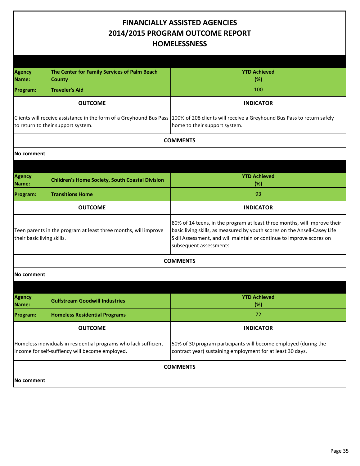#### **FINANCIALLY ASSISTED AGENCIES 2014/2015 PROGRAM OUTCOME REPORT HOMELESSNESS**

| <b>Agency</b><br>Name:                                                                                              | The Center for Family Services of Palm Beach<br><b>County</b> | <b>YTD Achieved</b><br>(%)                                                                                                                                                                                                                                |  |
|---------------------------------------------------------------------------------------------------------------------|---------------------------------------------------------------|-----------------------------------------------------------------------------------------------------------------------------------------------------------------------------------------------------------------------------------------------------------|--|
| Program:                                                                                                            | <b>Traveler's Aid</b>                                         | 100                                                                                                                                                                                                                                                       |  |
|                                                                                                                     | <b>OUTCOME</b>                                                | <b>INDICATOR</b>                                                                                                                                                                                                                                          |  |
| to return to their support system.                                                                                  |                                                               | Clients will receive assistance in the form of a Greyhound Bus Pass   100% of 208 clients will receive a Greyhound Bus Pass to return safely<br>home to their support system.                                                                             |  |
|                                                                                                                     |                                                               | <b>COMMENTS</b>                                                                                                                                                                                                                                           |  |
| No comment                                                                                                          |                                                               |                                                                                                                                                                                                                                                           |  |
|                                                                                                                     |                                                               |                                                                                                                                                                                                                                                           |  |
| Agency<br>Name:                                                                                                     | <b>Children's Home Society, South Coastal Division</b>        | <b>YTD Achieved</b><br>(%)                                                                                                                                                                                                                                |  |
| Program:                                                                                                            | <b>Transitions Home</b>                                       | 93                                                                                                                                                                                                                                                        |  |
|                                                                                                                     | <b>OUTCOME</b>                                                | <b>INDICATOR</b>                                                                                                                                                                                                                                          |  |
| Teen parents in the program at least three months, will improve<br>their basic living skills.                       |                                                               | 80% of 14 teens, in the program at least three months, will improve their<br>basic living skills, as measured by youth scores on the Ansell-Casey Life<br>Skill Assessment, and will maintain or continue to improve scores on<br>subsequent assessments. |  |
| <b>COMMENTS</b>                                                                                                     |                                                               |                                                                                                                                                                                                                                                           |  |
| No comment                                                                                                          |                                                               |                                                                                                                                                                                                                                                           |  |
|                                                                                                                     |                                                               |                                                                                                                                                                                                                                                           |  |
| Agency<br>Name:                                                                                                     | <b>Gulfstream Goodwill Industries</b>                         | <b>YTD Achieved</b><br>(%)                                                                                                                                                                                                                                |  |
| Program:                                                                                                            | <b>Homeless Residential Programs</b>                          | 72                                                                                                                                                                                                                                                        |  |
|                                                                                                                     | <b>OUTCOME</b>                                                | <b>INDICATOR</b>                                                                                                                                                                                                                                          |  |
| Homeless individuals in residential programs who lack sufficient<br>income for self-suffiency will become employed. |                                                               | 50% of 30 program participants will become employed (during the<br>contract year) sustaining employment for at least 30 days.                                                                                                                             |  |
| <b>COMMENTS</b>                                                                                                     |                                                               |                                                                                                                                                                                                                                                           |  |
| No comment                                                                                                          |                                                               |                                                                                                                                                                                                                                                           |  |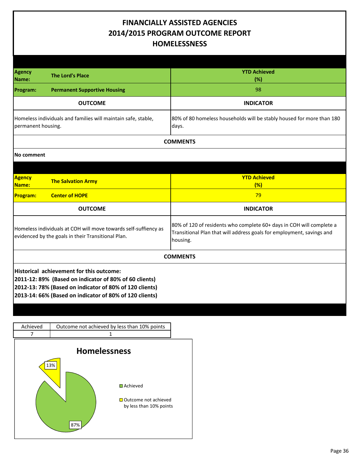#### **FINANCIALLY ASSISTED AGENCIES 2014/2015 PROGRAM OUTCOME REPORT HOMELESSNESS**

| <b>Agency</b><br>Name:                                                                                                | <b>The Lord's Place</b>                                                                                                                                                                                                  | <b>YTD Achieved</b><br>(%)                                                                                                                                |
|-----------------------------------------------------------------------------------------------------------------------|--------------------------------------------------------------------------------------------------------------------------------------------------------------------------------------------------------------------------|-----------------------------------------------------------------------------------------------------------------------------------------------------------|
| Program:                                                                                                              | <b>Permanent Supportive Housing</b>                                                                                                                                                                                      | 98                                                                                                                                                        |
|                                                                                                                       | <b>OUTCOME</b>                                                                                                                                                                                                           | <b>INDICATOR</b>                                                                                                                                          |
| Homeless individuals and families will maintain safe, stable,<br>permanent housing.                                   |                                                                                                                                                                                                                          | 80% of 80 homeless households will be stably housed for more than 180<br>days.                                                                            |
|                                                                                                                       |                                                                                                                                                                                                                          | <b>COMMENTS</b>                                                                                                                                           |
| No comment                                                                                                            |                                                                                                                                                                                                                          |                                                                                                                                                           |
|                                                                                                                       |                                                                                                                                                                                                                          |                                                                                                                                                           |
| <b>Agency</b><br><b>Name:</b>                                                                                         | <b>The Salvation Army</b>                                                                                                                                                                                                | <b>YTD Achieved</b><br>(%)                                                                                                                                |
| <b>Program:</b>                                                                                                       | <b>Center of HOPE</b>                                                                                                                                                                                                    | 79                                                                                                                                                        |
|                                                                                                                       | <b>OUTCOME</b>                                                                                                                                                                                                           | <b>INDICATOR</b>                                                                                                                                          |
| Homeless individuals at COH will move towards self-suffiency as<br>evidenced by the goals in their Transitional Plan. |                                                                                                                                                                                                                          | 80% of 120 of residents who complete 60+ days in COH will complete a<br>Transitional Plan that will address goals for employment, savings and<br>housing. |
| <b>COMMENTS</b>                                                                                                       |                                                                                                                                                                                                                          |                                                                                                                                                           |
|                                                                                                                       | Historical achievement for this outcome:<br>2011-12: 89% (Based on indicator of 80% of 60 clients)<br>2012-13: 78% (Based on indicator of 80% of 120 clients)<br>2013-14: 66% (Based on indicator of 80% of 120 clients) |                                                                                                                                                           |

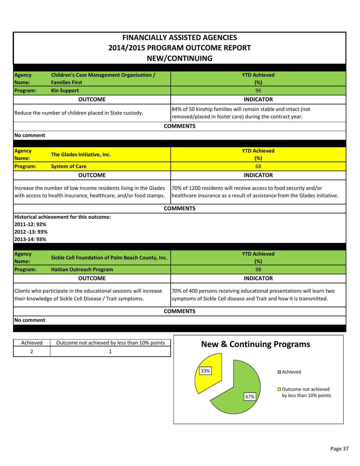| <b>FINANCIALLY ASSISTED AGENCIES</b><br>2014/2015 PROGRAM OUTCOME REPORT<br><b>NEW/CONTINUING</b>                                    |                                                                           |                                                                                                                                                 |
|--------------------------------------------------------------------------------------------------------------------------------------|---------------------------------------------------------------------------|-------------------------------------------------------------------------------------------------------------------------------------------------|
| Agency<br>Name:                                                                                                                      | <b>Children's Case Management Organization /</b><br><b>Families First</b> | <b>YTD Achieved</b><br>(%)                                                                                                                      |
| Program:                                                                                                                             | <b>Kin Support</b>                                                        | 96                                                                                                                                              |
|                                                                                                                                      | <b>OUTCOME</b>                                                            | <b>INDICATOR</b>                                                                                                                                |
|                                                                                                                                      | Reduce the number of children placed in State custody.                    | 84% of 50 kinship families will remain stable and intact (not<br>removed/placed in foster care) during the contract year.                       |
|                                                                                                                                      |                                                                           | <b>COMMENTS</b>                                                                                                                                 |
| No comment                                                                                                                           |                                                                           |                                                                                                                                                 |
| Agency<br>Name:                                                                                                                      | The Glades Initiative, Inc.                                               | <b>YTD Achieved</b><br>(%)                                                                                                                      |
| <b>Program:</b>                                                                                                                      | <b>System of Care</b>                                                     | 68                                                                                                                                              |
|                                                                                                                                      | <b>OUTCOME</b>                                                            | <b>INDICATOR</b>                                                                                                                                |
| Increase the number of low income residents living in the Glades<br>with access to health insurance, healthcare, and/or food stamps. |                                                                           | 70% of 1200 residents will receive access to food security and/or<br>healthcare insurance as a result of assistance from the Glades Initiative. |
|                                                                                                                                      |                                                                           | <b>COMMENTS</b>                                                                                                                                 |
| Historical achievement for this outcome:<br>2011-12: 92%<br>2012 -13: 93%<br>2013-14: 93%                                            |                                                                           |                                                                                                                                                 |
| <b>Agency</b><br>Name:                                                                                                               | Sickle Cell Foundation of Palm Beach County, Inc.                         | <b>YTD Achieved</b><br>$(\%)$                                                                                                                   |
| Program:                                                                                                                             | <b>Haitian Outreach Program</b>                                           | 98                                                                                                                                              |
|                                                                                                                                      | <b>OUTCOME</b>                                                            | <b>INDICATOR</b>                                                                                                                                |
| Clients who participate in the educational sessions will increase<br>their knowledge of Sickle Cell Disease / Trait symptoms.        |                                                                           | 70% of 400 persons receiving educational presentations will learn two<br>symptoms of Sickle Cell disease and Trait and how it is transmitted.   |
| <b>COMMENTS</b>                                                                                                                      |                                                                           |                                                                                                                                                 |
| No comment                                                                                                                           |                                                                           |                                                                                                                                                 |
|                                                                                                                                      |                                                                           |                                                                                                                                                 |
|                                                                                                                                      |                                                                           |                                                                                                                                                 |

Achieved | Outcome not achieved by less than 10% points 2 1

# **New & Continuing Programs**

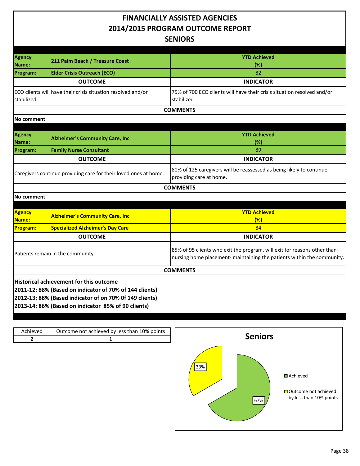#### **FINANCIALLY ASSISTED AGENCIES 2014/2015 PROGRAM OUTCOME REPORT SENIORS**

| <b>Agency</b>                                                    | 211 Palm Beach / Treasure Coast                              | <b>YTD Achieved</b>                                                                             |
|------------------------------------------------------------------|--------------------------------------------------------------|-------------------------------------------------------------------------------------------------|
| Name:                                                            |                                                              | (%)                                                                                             |
| <b>Program:</b>                                                  | <b>Elder Crisis Outreach (ECO)</b>                           | 82                                                                                              |
|                                                                  | <b>OUTCOME</b>                                               | <b>INDICATOR</b>                                                                                |
| stabilized.                                                      | ECO clients will have their crisis situation resolved and/or | 75% of 700 ECO clients will have their crisis situation resolved and/or<br>stabilized.          |
|                                                                  |                                                              | <b>COMMENTS</b>                                                                                 |
| No comment                                                       |                                                              |                                                                                                 |
|                                                                  |                                                              |                                                                                                 |
| <b>Agency</b>                                                    | <b>Alzheimer's Community Care, Inc.</b>                      | <b>YTD Achieved</b>                                                                             |
| Name:                                                            |                                                              | (%)                                                                                             |
| <b>Program:</b>                                                  | <b>Family Nurse Consultant</b>                               | 89                                                                                              |
|                                                                  | <b>OUTCOME</b>                                               | <b>INDICATOR</b>                                                                                |
| Caregivers continue providing care for their loved ones at home. |                                                              | 80% of 125 caregivers will be reassessed as being likely to continue<br>providing care at home. |
|                                                                  |                                                              | <b>COMMENTS</b>                                                                                 |
| No comment                                                       |                                                              |                                                                                                 |

| <b>Agency</b><br><b>Name:</b>     | <b>Alzheimer's Community Care, Inc.</b>                 | <b>YTD Achieved</b><br>(%)                                                                                                                         |  |
|-----------------------------------|---------------------------------------------------------|----------------------------------------------------------------------------------------------------------------------------------------------------|--|
| <b>Program:</b>                   | <b>Specialized Alzheimer's Day Care</b>                 | 84                                                                                                                                                 |  |
|                                   | <b>OUTCOME</b>                                          | <b>INDICATOR</b>                                                                                                                                   |  |
| Patients remain in the community. |                                                         | 85% of 95 clients who exit the program, will exit for reasons other than<br>nursing home placement- maintaining the patients within the community. |  |
|                                   |                                                         | <b>COMMENTS</b>                                                                                                                                    |  |
|                                   | <b>Historical achievement for this outcome</b>          |                                                                                                                                                    |  |
|                                   | 2011-12: 88% (Based on indicator of 70% of 144 clients) |                                                                                                                                                    |  |
|                                   | 2012-13: 88% (Based indicator of on 70% Of 149 clients) |                                                                                                                                                    |  |
|                                   | 2013-14: 86% (Based on indicator 85% of 90 clients)     |                                                                                                                                                    |  |

| Achieved<br>2 | Outcome not achieved by less than 10% points | <b>Seniors</b>                                                                       |
|---------------|----------------------------------------------|--------------------------------------------------------------------------------------|
|               |                                              | 33%<br><b>□</b> Achieved<br>□ Outcome not achieved<br>by less than 10% points<br>67% |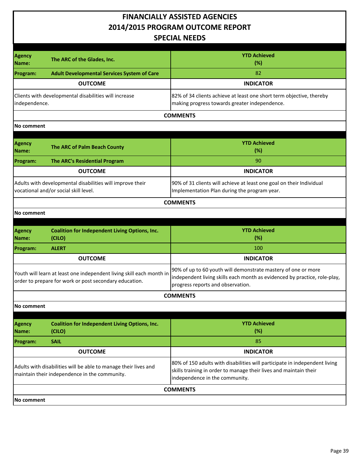#### **FINANCIALLY ASSISTED AGENCIES 2014/2015 PROGRAM OUTCOME REPORT SPECIAL NEEDS**

| <b>SPECIAL NEEDS</b>                                                                               |                                                                                                                                |                                                                                                                                                                                   |
|----------------------------------------------------------------------------------------------------|--------------------------------------------------------------------------------------------------------------------------------|-----------------------------------------------------------------------------------------------------------------------------------------------------------------------------------|
|                                                                                                    |                                                                                                                                |                                                                                                                                                                                   |
| <b>Agency</b><br>Name:                                                                             | The ARC of the Glades, Inc.                                                                                                    | <b>YTD Achieved</b><br>(%)                                                                                                                                                        |
| Program:                                                                                           | <b>Adult Developmental Services System of Care</b>                                                                             | 82                                                                                                                                                                                |
|                                                                                                    | <b>OUTCOME</b>                                                                                                                 | <b>INDICATOR</b>                                                                                                                                                                  |
| Clients with developmental disabilities will increase<br>independence.                             |                                                                                                                                | 82% of 34 clients achieve at least one short term objective, thereby<br>making progress towards greater independence.                                                             |
|                                                                                                    |                                                                                                                                | <b>COMMENTS</b>                                                                                                                                                                   |
| No comment                                                                                         |                                                                                                                                |                                                                                                                                                                                   |
| Agency<br>Name:                                                                                    | The ARC of Palm Beach County                                                                                                   | <b>YTD Achieved</b><br>(%)                                                                                                                                                        |
| <b>Program:</b>                                                                                    | The ARC's Residential Program                                                                                                  | 90                                                                                                                                                                                |
|                                                                                                    | <b>OUTCOME</b>                                                                                                                 | <b>INDICATOR</b>                                                                                                                                                                  |
| Adults with developmental disabilities will improve their<br>vocational and/or social skill level. |                                                                                                                                | 90% of 31 clients will achieve at least one goal on their Individual<br>Implementation Plan during the program year.                                                              |
|                                                                                                    |                                                                                                                                | <b>COMMENTS</b>                                                                                                                                                                   |
| No comment                                                                                         |                                                                                                                                |                                                                                                                                                                                   |
|                                                                                                    |                                                                                                                                |                                                                                                                                                                                   |
|                                                                                                    |                                                                                                                                |                                                                                                                                                                                   |
| <b>Agency</b><br>Name:                                                                             | <b>Coalition for Independent Living Options, Inc.</b><br>(CILO)                                                                | <b>YTD Achieved</b><br>(%)                                                                                                                                                        |
| <b>Program:</b>                                                                                    | <b>ALERT</b>                                                                                                                   | 100                                                                                                                                                                               |
|                                                                                                    | <b>OUTCOME</b>                                                                                                                 | <b>INDICATOR</b>                                                                                                                                                                  |
|                                                                                                    | Youth will learn at least one independent living skill each month in<br>order to prepare for work or post secondary education. | 90% of up to 60 youth will demonstrate mastery of one or more<br>independent living skills each month as evidenced by practice, role-play,<br>progress reports and observation.   |
|                                                                                                    |                                                                                                                                | <b>COMMENTS</b>                                                                                                                                                                   |
| <b>No comment</b>                                                                                  |                                                                                                                                |                                                                                                                                                                                   |
| Agency<br>Name:                                                                                    | <b>Coalition for Independent Living Options, Inc.</b><br>(CILO)                                                                | <b>YTD Achieved</b><br>(%)                                                                                                                                                        |
| <b>Program:</b>                                                                                    | <b>SAIL</b>                                                                                                                    | 85                                                                                                                                                                                |
|                                                                                                    | <b>OUTCOME</b>                                                                                                                 | <b>INDICATOR</b>                                                                                                                                                                  |
|                                                                                                    | Adults with disabilities will be able to manage their lives and<br>maintain their independence in the community.               | 80% of 150 adults with disabilities will participate in independent living<br>skills training in order to manage their lives and maintain their<br>independence in the community. |
|                                                                                                    |                                                                                                                                | <b>COMMENTS</b>                                                                                                                                                                   |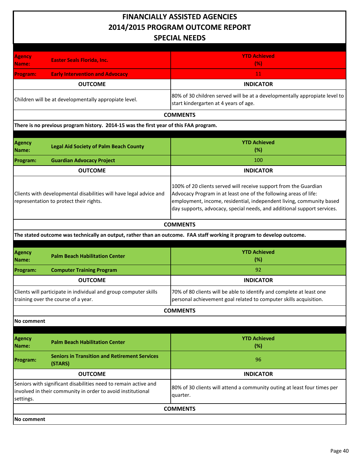| <b>SPECIAL NEEDS</b>                                                                                                                        |                                                                                                         |                                                                                                                                                                                                                                                                                         |
|---------------------------------------------------------------------------------------------------------------------------------------------|---------------------------------------------------------------------------------------------------------|-----------------------------------------------------------------------------------------------------------------------------------------------------------------------------------------------------------------------------------------------------------------------------------------|
| <b>Agency</b><br>Name:                                                                                                                      | <b>Easter Seals Florida, Inc.</b>                                                                       | <b>YTD Achieved</b><br>(% )                                                                                                                                                                                                                                                             |
| Program:                                                                                                                                    | <b>Early Intervention and Advocacy</b>                                                                  | $11\,$                                                                                                                                                                                                                                                                                  |
|                                                                                                                                             | <b>OUTCOME</b>                                                                                          | <b>INDICATOR</b>                                                                                                                                                                                                                                                                        |
|                                                                                                                                             | Children will be at developmentally appropiate level.                                                   | 80% of 30 children served will be at a developmentally appropiate level to<br>start kindergarten at 4 years of age.                                                                                                                                                                     |
|                                                                                                                                             |                                                                                                         | <b>COMMENTS</b>                                                                                                                                                                                                                                                                         |
|                                                                                                                                             | There is no previous program history. 2014-15 was the first year of this FAA program.                   |                                                                                                                                                                                                                                                                                         |
| <b>Agency</b><br>Name:                                                                                                                      | <b>Legal Aid Society of Palm Beach County</b>                                                           | <b>YTD Achieved</b><br>(%)                                                                                                                                                                                                                                                              |
| Program:                                                                                                                                    | <b>Guardian Advocacy Project</b>                                                                        | 100                                                                                                                                                                                                                                                                                     |
|                                                                                                                                             | <b>OUTCOME</b>                                                                                          | <b>INDICATOR</b>                                                                                                                                                                                                                                                                        |
| Clients with developmental disabilities will have legal advice and<br>representation to protect their rights.                               |                                                                                                         | 100% of 20 clients served will receive support from the Guardian<br>Advocacy Program in at least one of the following areas of life:<br>employment, income, residential, independent living, community based<br>day supports, advocacy, special needs, and additional support services. |
|                                                                                                                                             |                                                                                                         | <b>COMMENTS</b>                                                                                                                                                                                                                                                                         |
|                                                                                                                                             |                                                                                                         | The stated outcome was technically an output, rather than an outcome. FAA staff working it program to develop outcome.                                                                                                                                                                  |
| <b>Agency</b><br>Name:                                                                                                                      | <b>Palm Beach Habilitation Center</b>                                                                   | <b>YTD Achieved</b><br>(%)                                                                                                                                                                                                                                                              |
| <b>Program:</b>                                                                                                                             | <b>Computer Training Program</b>                                                                        | 92                                                                                                                                                                                                                                                                                      |
|                                                                                                                                             | <b>OUTCOME</b>                                                                                          | <b>INDICATOR</b>                                                                                                                                                                                                                                                                        |
|                                                                                                                                             | Clients will participate in individual and group computer skills<br>training over the course of a year. | 70% of 80 clients will be able to identify and complete at least one<br>personal achievement goal related to computer skills acquisition.                                                                                                                                               |
|                                                                                                                                             |                                                                                                         | <b>COMMENTS</b>                                                                                                                                                                                                                                                                         |
| No comment                                                                                                                                  |                                                                                                         |                                                                                                                                                                                                                                                                                         |
| <b>Agency</b><br>Name:                                                                                                                      | <b>Palm Beach Habilitation Center</b>                                                                   | <b>YTD Achieved</b><br>(%)                                                                                                                                                                                                                                                              |
| Program:                                                                                                                                    | <b>Seniors in Transition and Retirement Services</b><br>(STARS)                                         | 96                                                                                                                                                                                                                                                                                      |
|                                                                                                                                             | <b>OUTCOME</b>                                                                                          | <b>INDICATOR</b>                                                                                                                                                                                                                                                                        |
| Seniors with significant disabilities need to remain active and<br>involved in their community in order to avoid institutional<br>settings. |                                                                                                         | 80% of 30 clients will attend a community outing at least four times per<br>quarter.                                                                                                                                                                                                    |
|                                                                                                                                             |                                                                                                         | <b>COMMENTS</b>                                                                                                                                                                                                                                                                         |
| No comment                                                                                                                                  |                                                                                                         |                                                                                                                                                                                                                                                                                         |